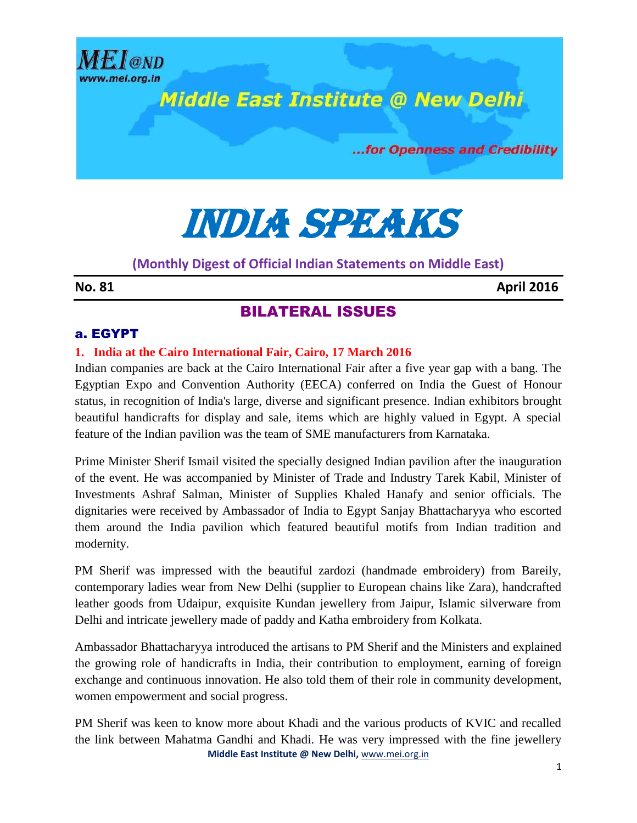

...for Openness and Credibility

# India speaks

# **(Monthly Digest of Official Indian Statements on Middle East)**

**No. 81 April 2016** 

# BILATERAL ISSUES

## a. EGYPT

**ME** L@ND

## **1. India at the Cairo International Fair, Cairo, 17 March 2016**

Indian companies are back at the Cairo International Fair after a five year gap with a bang. The Egyptian Expo and Convention Authority (EECA) conferred on India the Guest of Honour status, in recognition of India's large, diverse and significant presence. Indian exhibitors brought beautiful handicrafts for display and sale, items which are highly valued in Egypt. A special feature of the Indian pavilion was the team of SME manufacturers from Karnataka.

Prime Minister Sherif Ismail visited the specially designed Indian pavilion after the inauguration of the event. He was accompanied by Minister of Trade and Industry Tarek Kabil, Minister of Investments Ashraf Salman, Minister of Supplies Khaled Hanafy and senior officials. The dignitaries were received by Ambassador of India to Egypt Sanjay Bhattacharyya who escorted them around the India pavilion which featured beautiful motifs from Indian tradition and modernity.

PM Sherif was impressed with the beautiful zardozi (handmade embroidery) from Bareily, contemporary ladies wear from New Delhi (supplier to European chains like Zara), handcrafted leather goods from Udaipur, exquisite Kundan jewellery from Jaipur, Islamic silverware from Delhi and intricate jewellery made of paddy and Katha embroidery from Kolkata.

Ambassador Bhattacharyya introduced the artisans to PM Sherif and the Ministers and explained the growing role of handicrafts in India, their contribution to employment, earning of foreign exchange and continuous innovation. He also told them of their role in community development, women empowerment and social progress.

**Middle East Institute @ New Delhi,** [www.mei.org.in](http://www.mei.org.in/) PM Sherif was keen to know more about Khadi and the various products of KVIC and recalled the link between Mahatma Gandhi and Khadi. He was very impressed with the fine jewellery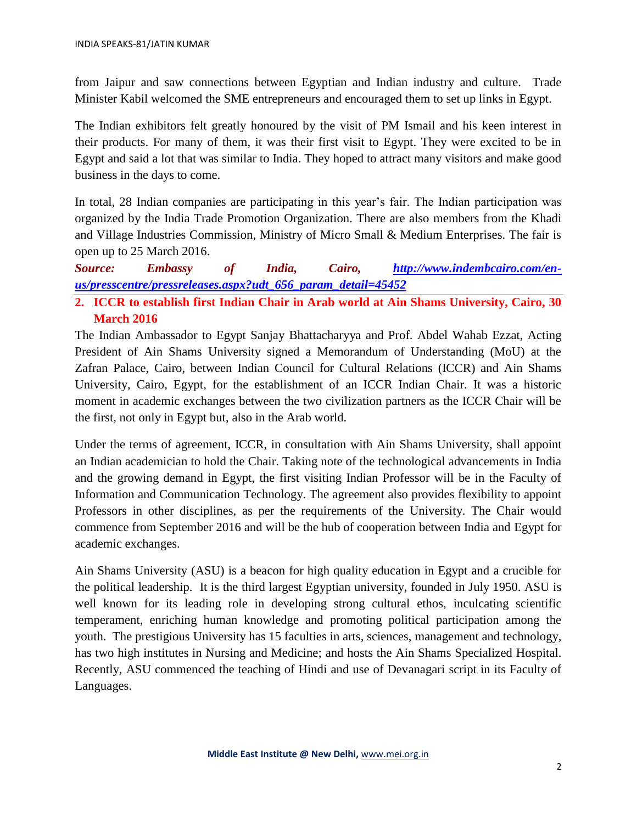from Jaipur and saw connections between Egyptian and Indian industry and culture. Trade Minister Kabil welcomed the SME entrepreneurs and encouraged them to set up links in Egypt.

The Indian exhibitors felt greatly honoured by the visit of PM Ismail and his keen interest in their products. For many of them, it was their first visit to Egypt. They were excited to be in Egypt and said a lot that was similar to India. They hoped to attract many visitors and make good business in the days to come.

In total, 28 Indian companies are participating in this year's fair. The Indian participation was organized by the India Trade Promotion Organization. There are also members from the Khadi and Village Industries Commission, Ministry of Micro Small & Medium Enterprises. The fair is open up to 25 March 2016.

*Source: Embassy of India, Cairo, [http://www.indembcairo.com/en](http://www.indembcairo.com/en-us/presscentre/pressreleases.aspx?udt_656_param_detail=45452)[us/presscentre/pressreleases.aspx?udt\\_656\\_param\\_detail=45452](http://www.indembcairo.com/en-us/presscentre/pressreleases.aspx?udt_656_param_detail=45452)*

**2. ICCR to establish first Indian Chair in Arab world at Ain Shams University, Cairo, 30 March 2016**

The Indian Ambassador to Egypt Sanjay Bhattacharyya and Prof. Abdel Wahab Ezzat, Acting President of Ain Shams University signed a Memorandum of Understanding (MoU) at the Zafran Palace, Cairo, between Indian Council for Cultural Relations (ICCR) and Ain Shams University, Cairo, Egypt, for the establishment of an ICCR Indian Chair. It was a historic moment in academic exchanges between the two civilization partners as the ICCR Chair will be the first, not only in Egypt but, also in the Arab world.

Under the terms of agreement, ICCR, in consultation with Ain Shams University, shall appoint an Indian academician to hold the Chair. Taking note of the technological advancements in India and the growing demand in Egypt, the first visiting Indian Professor will be in the Faculty of Information and Communication Technology. The agreement also provides flexibility to appoint Professors in other disciplines, as per the requirements of the University. The Chair would commence from September 2016 and will be the hub of cooperation between India and Egypt for academic exchanges.

Ain Shams University (ASU) is a beacon for high quality education in Egypt and a crucible for the political leadership. It is the third largest Egyptian university, founded in July 1950. ASU is well known for its leading role in developing strong cultural ethos, inculcating scientific temperament, enriching human knowledge and promoting political participation among the youth. The prestigious University has 15 faculties in arts, sciences, management and technology, has two high institutes in Nursing and Medicine; and hosts the Ain Shams Specialized Hospital. Recently, ASU commenced the teaching of Hindi and use of Devanagari script in its Faculty of Languages.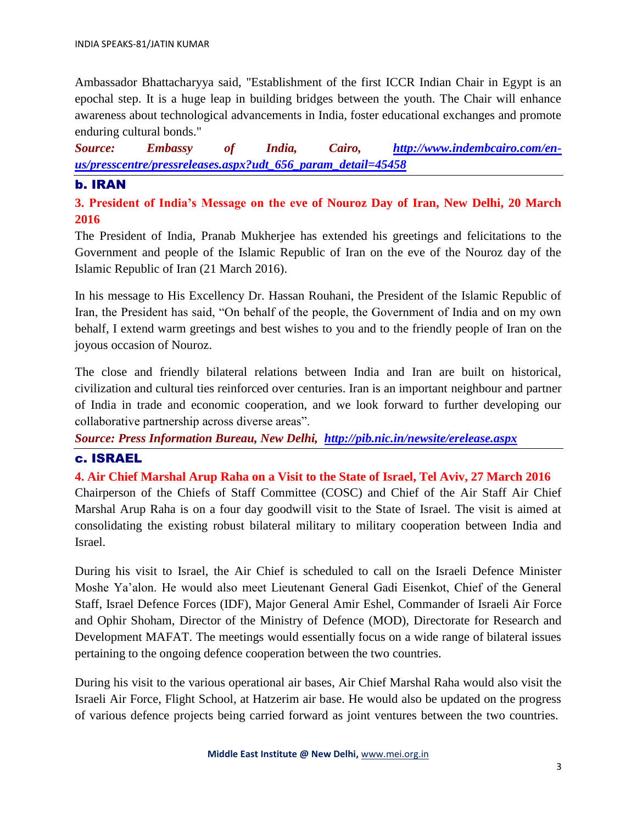Ambassador Bhattacharyya said, "Establishment of the first ICCR Indian Chair in Egypt is an epochal step. It is a huge leap in building bridges between the youth. The Chair will enhance awareness about technological advancements in India, foster educational exchanges and promote enduring cultural bonds."

*Source: Embassy of India, Cairo, [http://www.indembcairo.com/en](http://www.indembcairo.com/en-us/presscentre/pressreleases.aspx?udt_656_param_detail=45458)[us/presscentre/pressreleases.aspx?udt\\_656\\_param\\_detail=45458](http://www.indembcairo.com/en-us/presscentre/pressreleases.aspx?udt_656_param_detail=45458)*

## b. IRAN

**3. President of India's Message on the eve of Nouroz Day of Iran, New Delhi, 20 March 2016** 

The President of India, Pranab Mukherjee has extended his greetings and felicitations to the Government and people of the Islamic Republic of Iran on the eve of the Nouroz day of the Islamic Republic of Iran (21 March 2016).

In his message to His Excellency Dr. Hassan Rouhani, the President of the Islamic Republic of Iran, the President has said, "On behalf of the people, the Government of India and on my own behalf, I extend warm greetings and best wishes to you and to the friendly people of Iran on the joyous occasion of Nouroz.

The close and friendly bilateral relations between India and Iran are built on historical, civilization and cultural ties reinforced over centuries. Iran is an important neighbour and partner of India in trade and economic cooperation, and we look forward to further developing our collaborative partnership across diverse areas".

*Source: Press Information Bureau, New Delhi, <http://pib.nic.in/newsite/erelease.aspx>*

## c. ISRAEL

**4. Air Chief Marshal Arup Raha on a Visit to the State of Israel, Tel Aviv, 27 March 2016**  Chairperson of the Chiefs of Staff Committee (COSC) and Chief of the Air Staff Air Chief Marshal Arup Raha is on a four day goodwill visit to the State of Israel. The visit is aimed at consolidating the existing robust bilateral military to military cooperation between India and Israel.

During his visit to Israel, the Air Chief is scheduled to call on the Israeli Defence Minister Moshe Ya'alon. He would also meet Lieutenant General Gadi Eisenkot, Chief of the General Staff, Israel Defence Forces (IDF), Major General Amir Eshel, Commander of Israeli Air Force and Ophir Shoham, Director of the Ministry of Defence (MOD), Directorate for Research and Development MAFAT. The meetings would essentially focus on a wide range of bilateral issues pertaining to the ongoing defence cooperation between the two countries.

During his visit to the various operational air bases, Air Chief Marshal Raha would also visit the Israeli Air Force, Flight School, at Hatzerim air base. He would also be updated on the progress of various defence projects being carried forward as joint ventures between the two countries.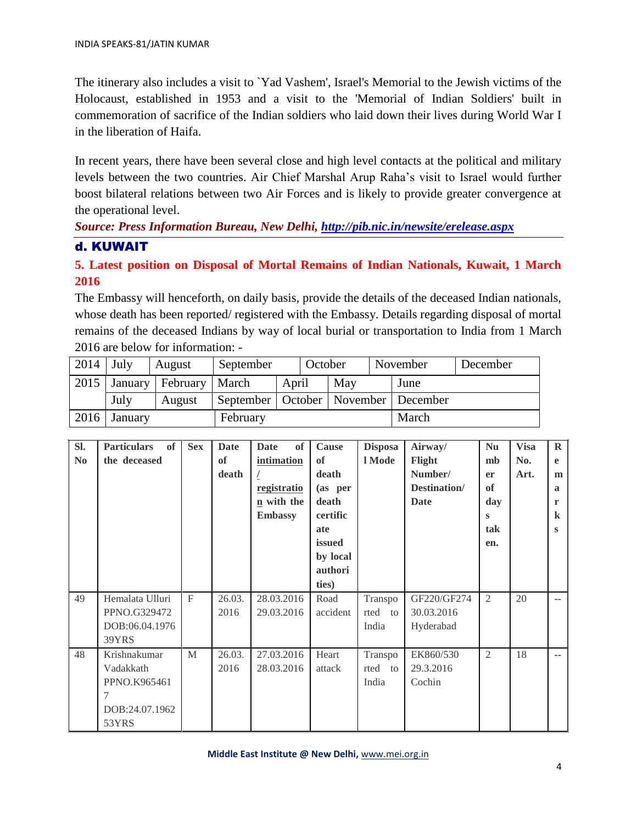The itinerary also includes a visit to `Yad Vashem', Israel's Memorial to the Jewish victims of the Holocaust, established in 1953 and a visit to the 'Memorial of Indian Soldiers' built in commemoration of sacrifice of the Indian soldiers who laid down their lives during World War I in the liberation of Haifa.

In recent years, there have been several close and high level contacts at the political and military levels between the two countries. Air Chief Marshal Arup Raha's visit to Israel would further boost bilateral relations between two Air Forces and is likely to provide greater convergence at the operational level.

*Source: Press Information Bureau, New Delhi,<http://pib.nic.in/newsite/erelease.aspx>*

## d. KUWAIT

**5. Latest position on Disposal of Mortal Remains of Indian Nationals, Kuwait, 1 March 2016**

The Embassy will henceforth, on daily basis, provide the details of the deceased Indian nationals, whose death has been reported/ registered with the Embassy. Details regarding disposal of mortal remains of the deceased Indians by way of local burial or transportation to India from 1 March 2016 are below for information: -

| 2014 | July    | August                     | September |                                           | October |     |  | November | December |
|------|---------|----------------------------|-----------|-------------------------------------------|---------|-----|--|----------|----------|
| 2015 |         | January   February   March |           | April                                     |         | May |  | June     |          |
|      | July    | August                     |           | September   October   November   December |         |     |  |          |          |
| 2016 | January |                            | February  |                                           |         |     |  | March    |          |

| SI.            | <b>of</b><br><b>Particulars</b> | <b>Sex</b>   | <b>Date</b> | of<br>Date     | <b>Cause</b>  | <b>Disposa</b> | Airway/      | <b>Nu</b>      | <b>Visa</b> | $\mathbf R$              |
|----------------|---------------------------------|--------------|-------------|----------------|---------------|----------------|--------------|----------------|-------------|--------------------------|
| N <sub>0</sub> | the deceased                    |              | <b>of</b>   | intimation     | <sub>of</sub> | l Mode         | Flight       | mb             | No.         | e                        |
|                |                                 |              | death       |                | death         |                | Number/      | er             | Art.        | m                        |
|                |                                 |              |             | registratio    | (as per       |                | Destination/ | <b>of</b>      |             | a                        |
|                |                                 |              |             | n with the     | death         |                | <b>Date</b>  | day            |             | r                        |
|                |                                 |              |             | <b>Embassy</b> | certific      |                |              | S              |             | $\bf k$                  |
|                |                                 |              |             |                | ate           |                |              | tak            |             | S                        |
|                |                                 |              |             |                | issued        |                |              | en.            |             |                          |
|                |                                 |              |             |                | by local      |                |              |                |             |                          |
|                |                                 |              |             |                | authori       |                |              |                |             |                          |
|                |                                 |              |             |                | ties)         |                |              |                |             |                          |
| 49             | Hemalata Ulluri                 | $\mathbf{F}$ | 26.03.      | 28.03.2016     | Road          | Transpo        | GF220/GF274  | $\overline{2}$ | 20          | $\overline{\phantom{a}}$ |
|                | PPNO.G329472                    |              | 2016        | 29.03.2016     | accident      | rted<br>to     | 30.03.2016   |                |             |                          |
|                | DOB:06.04.1976                  |              |             |                |               | India          | Hyderabad    |                |             |                          |
|                | 39YRS                           |              |             |                |               |                |              |                |             |                          |
| 48             | Krishnakumar                    | M            | 26.03.      | 27.03.2016     | Heart         | Transpo        | EK860/530    | $\overline{2}$ | 18          | $\sim$ $-$               |
|                | Vadakkath                       |              | 2016        | 28.03.2016     | attack        | rted<br>to     | 29.3.2016    |                |             |                          |
|                | PPNO.K965461                    |              |             |                |               | India          | Cochin       |                |             |                          |
|                | 7                               |              |             |                |               |                |              |                |             |                          |
|                | DOB:24.07.1962                  |              |             |                |               |                |              |                |             |                          |
|                | 53YRS                           |              |             |                |               |                |              |                |             |                          |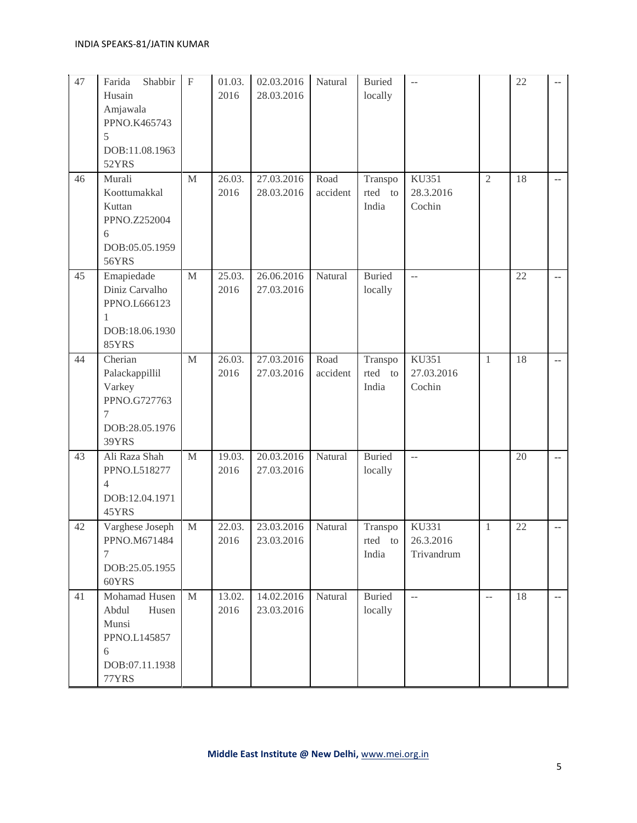| $47\,$ | Farida<br>Shabbir<br>Husain<br>Amjawala<br>PPNO.K465743<br>5<br>DOB:11.08.1963<br>52YRS  | $\mathbf{F}$ | 01.03.<br>2016 | 02.03.2016<br>28.03.2016 | Natural          | <b>Buried</b><br>locally       | $\sim$ $\sim$                    |                | 22 |               |
|--------|------------------------------------------------------------------------------------------|--------------|----------------|--------------------------|------------------|--------------------------------|----------------------------------|----------------|----|---------------|
| 46     | Murali<br>Koottumakkal<br>Kuttan<br>PPNO.Z252004<br>6<br>DOB:05.05.1959<br><b>56YRS</b>  | M            | 26.03.<br>2016 | 27.03.2016<br>28.03.2016 | Road<br>accident | Transpo<br>rted to<br>India    | KU351<br>28.3.2016<br>Cochin     | $\overline{2}$ | 18 | $\sim$ $-$    |
| 45     | Emapiedade<br>Diniz Carvalho<br>PPNO.L666123<br>DOB:18.06.1930<br>85YRS                  | $\mathbf M$  | 25.03.<br>2016 | 26.06.2016<br>27.03.2016 | Natural          | <b>Buried</b><br>locally       | $\sim$ $\sim$                    |                | 22 | $\sim$ $\sim$ |
| 44     | Cherian<br>Palackappillil<br>Varkey<br>PPNO.G727763<br>7<br>DOB:28.05.1976<br>39YRS      | $\mathbf{M}$ | 26.03.<br>2016 | 27.03.2016<br>27.03.2016 | Road<br>accident | Transpo<br>rted<br>to<br>India | KU351<br>27.03.2016<br>Cochin    | $\mathbf{1}$   | 18 | $\sim$        |
| 43     | Ali Raza Shah<br>PPNO.L518277<br>$\overline{4}$<br>DOB:12.04.1971<br>45YRS               | $\mathbf M$  | 19.03.<br>2016 | 20.03.2016<br>27.03.2016 | Natural          | <b>Buried</b><br>locally       | $\mathbb{L}^{\mathbb{L}}$        |                | 20 | $\sim$        |
| 42     | Varghese Joseph<br>PPNO.M671484<br>7<br>DOB:25.05.1955<br>60YRS                          | $\mathbf M$  | 22.03.<br>2016 | 23.03.2016<br>23.03.2016 | Natural          | Transpo<br>rted to<br>India    | KU331<br>26.3.2016<br>Trivandrum | $\mathbf{1}$   | 22 | ۰.            |
| 41     | Mohamad Husen<br>Abdul<br>Husen<br>Munsi<br>PPNO.L145857<br>6<br>DOB:07.11.1938<br>77YRS | M            | 13.02.<br>2016 | 14.02.2016<br>23.03.2016 | Natural          | <b>Buried</b><br>locally       | $\sim$ $\sim$                    | $-$            | 18 | $\sim$ $\sim$ |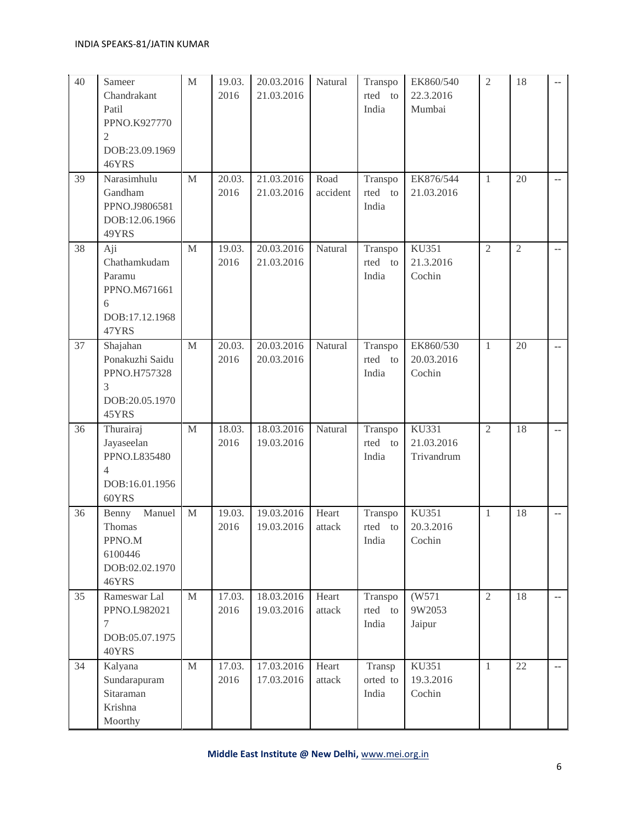| 40 | Sameer<br>Chandrakant<br>Patil<br>PPNO.K927770<br>$\overline{2}$<br>DOB:23.09.1969<br>46YRS | $\mathbf M$ | 19.03.<br>2016 | 20.03.2016<br>21.03.2016 | Natural          | Transpo<br>rted to<br>India | EK860/540<br>22.3.2016<br>Mumbai    | $\overline{2}$ | 18             |                |
|----|---------------------------------------------------------------------------------------------|-------------|----------------|--------------------------|------------------|-----------------------------|-------------------------------------|----------------|----------------|----------------|
| 39 | Narasimhulu<br>Gandham<br>PPNO.J9806581<br>DOB:12.06.1966<br>49YRS                          | $\mathbf M$ | 20.03.<br>2016 | 21.03.2016<br>21.03.2016 | Road<br>accident | Transpo<br>rted to<br>India | EK876/544<br>21.03.2016             | $\mathbf{1}$   | 20             | $\sim$         |
| 38 | Aji<br>Chathamkudam<br>Paramu<br>PPNO.M671661<br>6<br>DOB:17.12.1968<br>47YRS               | M           | 19.03.<br>2016 | 20.03.2016<br>21.03.2016 | Natural          | Transpo<br>rted to<br>India | <b>KU351</b><br>21.3.2016<br>Cochin | $\overline{2}$ | $\mathfrak{2}$ | $\overline{a}$ |
| 37 | Shajahan<br>Ponakuzhi Saidu<br>PPNO.H757328<br>3<br>DOB:20.05.1970<br>45YRS                 | M           | 20.03.<br>2016 | 20.03.2016<br>20.03.2016 | Natural          | Transpo<br>rted to<br>India | EK860/530<br>20.03.2016<br>Cochin   | $\mathbf{1}$   | 20             | $\overline{a}$ |
| 36 | Thurairaj<br>Jayaseelan<br>PPNO.L835480<br>$\overline{4}$<br>DOB:16.01.1956<br>60YRS        | $\mathbf M$ | 18.03.<br>2016 | 18.03.2016<br>19.03.2016 | Natural          | Transpo<br>rted to<br>India | KU331<br>21.03.2016<br>Trivandrum   | $\overline{2}$ | 18             | $\sim$         |
| 36 | Manuel<br>Benny<br>Thomas<br>PPNO.M<br>6100446<br>DOB:02.02.1970<br>46YRS                   | $\mathbf M$ | 19.03.<br>2016 | 19.03.2016<br>19.03.2016 | Heart<br>attack  | Transpo<br>rted to<br>India | KU351<br>20.3.2016<br>Cochin        | $\mathbf{1}$   | 18             | ۰.             |
| 35 | Rameswar Lal<br>PPNO.L982021<br>7<br>DOB:05.07.1975<br>40YRS                                | $\mathbf M$ | 17.03.<br>2016 | 18.03.2016<br>19.03.2016 | Heart<br>attack  | Transpo<br>rted to<br>India | (W571)<br>9W2053<br>Jaipur          | $\overline{2}$ | 18             | $\sim$         |
| 34 | Kalyana<br>Sundarapuram<br>Sitaraman<br>Krishna<br>Moorthy                                  | $\mathbf M$ | 17.03.<br>2016 | 17.03.2016<br>17.03.2016 | Heart<br>attack  | Transp<br>orted to<br>India | KU351<br>19.3.2016<br>Cochin        | $\mathbf{1}$   | 22             | $\sim$ $-$     |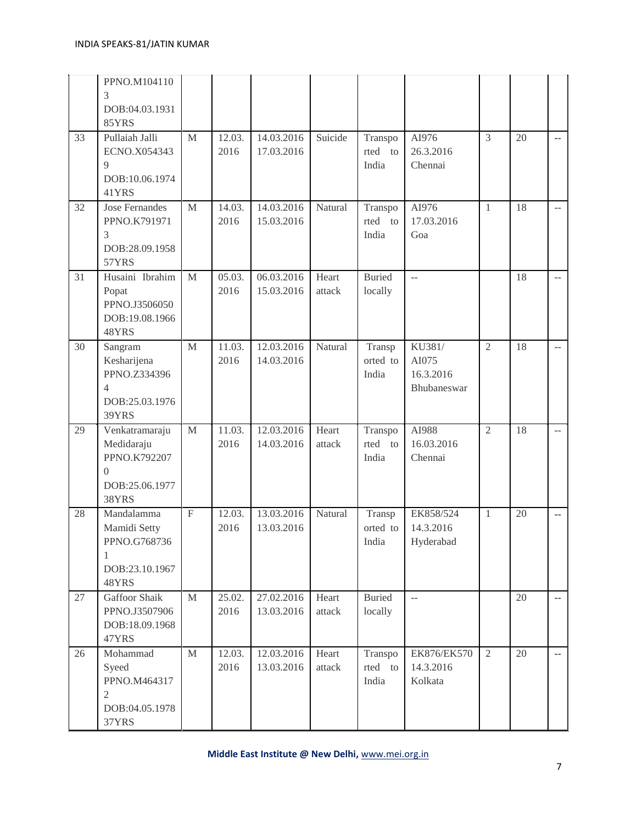|    | PPNO.M104110<br>3<br>DOB:04.03.1931<br>85YRS                                              |                           |                |                          |                 |                             |                                             |              |    |                          |
|----|-------------------------------------------------------------------------------------------|---------------------------|----------------|--------------------------|-----------------|-----------------------------|---------------------------------------------|--------------|----|--------------------------|
| 33 | Pullaiah Jalli<br>ECNO.X054343<br>9<br>DOB:10.06.1974<br>41YRS                            | M                         | 12.03.<br>2016 | 14.03.2016<br>17.03.2016 | Suicide         | Transpo<br>rted to<br>India | AI976<br>26.3.2016<br>Chennai               | 3            | 20 | ۰.                       |
| 32 | Jose Fernandes<br>PPNO.K791971<br>3<br>DOB:28.09.1958<br>57YRS                            | M                         | 14.03.<br>2016 | 14.03.2016<br>15.03.2016 | Natural         | Transpo<br>rted to<br>India | AI976<br>17.03.2016<br>Goa                  | $\mathbf{1}$ | 18 | $\overline{\phantom{a}}$ |
| 31 | Husaini Ibrahim<br>Popat<br>PPNO.J3506050<br>DOB:19.08.1966<br>48YRS                      | $\mathbf{M}$              | 05.03.<br>2016 | 06.03.2016<br>15.03.2016 | Heart<br>attack | Buried<br>locally           | $\mathbb{L}^{\mathbb{L}}$                   |              | 18 | $-$                      |
| 30 | Sangram<br>Kesharijena<br>PPNO.Z334396<br>$\overline{4}$<br>DOB:25.03.1976<br>39YRS       | M                         | 11.03.<br>2016 | 12.03.2016<br>14.03.2016 | Natural         | Transp<br>orted to<br>India | KU381/<br>AI075<br>16.3.2016<br>Bhubaneswar | 2            | 18 | $- -$                    |
| 29 | Venkatramaraju<br>Medidaraju<br>PPNO.K792207<br>$\overline{0}$<br>DOB:25.06.1977<br>38YRS | M                         | 11.03.<br>2016 | 12.03.2016<br>14.03.2016 | Heart<br>attack | Transpo<br>rted to<br>India | AI988<br>16.03.2016<br>Chennai              | 2            | 18 | $-$                      |
| 28 | Mandalamma<br>Mamidi Setty<br>PPNO.G768736<br>1<br>DOB:23.10.1967<br>48YRS                | $\boldsymbol{\mathrm{F}}$ | 12.03.<br>2016 | 13.03.2016<br>13.03.2016 | Natural         | Transp<br>orted to<br>India | EK858/524<br>14.3.2016<br>Hyderabad         | $\mathbf{1}$ | 20 | ۰.                       |
| 27 | <b>Gaffoor Shaik</b><br>PPNO.J3507906<br>DOB:18.09.1968<br>47YRS                          | M                         | 25.02.<br>2016 | 27.02.2016<br>13.03.2016 | Heart<br>attack | <b>Buried</b><br>locally    | $\overline{\phantom{m}}$                    |              | 20 | ۰.                       |
| 26 | Mohammad<br>Syeed<br>PPNO.M464317<br>$\overline{2}$<br>DOB:04.05.1978<br>37YRS            | M                         | 12.03.<br>2016 | 12.03.2016<br>13.03.2016 | Heart<br>attack | Transpo<br>rted to<br>India | EK876/EK570<br>14.3.2016<br>Kolkata         | 2            | 20 | ۰.                       |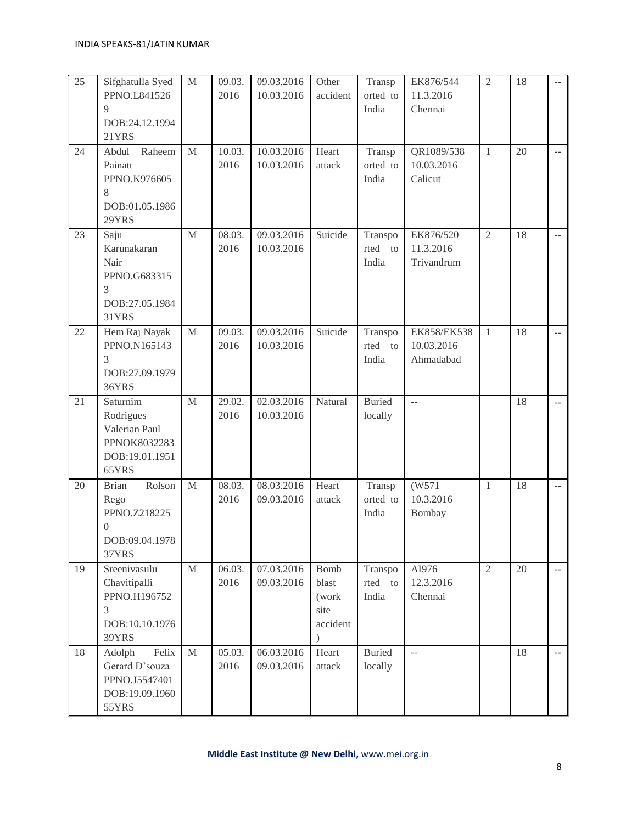| 25 | Sifghatulla Syed<br>PPNO.L841526<br>9<br>DOB:24.12.1994<br>21YRS                              | $\mathbf M$ | 09.03.<br>2016 | 09.03.2016<br>10.03.2016 | Other<br>accident                                       | Transp<br>orted to<br>India | EK876/544<br>11.3.2016<br>Chennai      | $\overline{2}$ | 18 |                |
|----|-----------------------------------------------------------------------------------------------|-------------|----------------|--------------------------|---------------------------------------------------------|-----------------------------|----------------------------------------|----------------|----|----------------|
| 24 | Abdul<br>Raheem<br>Painatt<br>PPNO.K976605<br>8<br>DOB:01.05.1986<br>29YRS                    | M           | 10.03.<br>2016 | 10.03.2016<br>10.03.2016 | Heart<br>attack                                         | Transp<br>orted to<br>India | QR1089/538<br>10.03.2016<br>Calicut    | -1             | 20 | Ξ.             |
| 23 | Saju<br>Karunakaran<br>Nair<br>PPNO.G683315<br>3<br>DOB:27.05.1984<br>31YRS                   | M           | 08.03.<br>2016 | 09.03.2016<br>10.03.2016 | Suicide                                                 | Transpo<br>rted to<br>India | EK876/520<br>11.3.2016<br>Trivandrum   | $\overline{2}$ | 18 | ۰.             |
| 22 | Hem Raj Nayak<br>PPNO.N165143<br>3<br>DOB:27.09.1979<br>36YRS                                 | M           | 09.03.<br>2016 | 09.03.2016<br>10.03.2016 | Suicide                                                 | Transpo<br>rted to<br>India | EK858/EK538<br>10.03.2016<br>Ahmadabad | $\mathbf{1}$   | 18 | μ.             |
| 21 | Saturnim<br>Rodrigues<br>Valerian Paul<br>PPNOK8032283<br>DOB:19.01.1951<br>65YRS             | M           | 29.02.<br>2016 | 02.03.2016<br>10.03.2016 | Natural                                                 | <b>Buried</b><br>locally    | $\mathbb{L}^{\mathbb{L}}$              |                | 18 | ۰.             |
| 20 | Rolson<br><b>Brian</b><br>Rego<br>PPNO.Z218225<br>$\boldsymbol{0}$<br>DOB:09.04.1978<br>37YRS | $\mathbf M$ | 08.03.<br>2016 | 08.03.2016<br>09.03.2016 | Heart<br>attack                                         | Transp<br>orted to<br>India | (W571<br>10.3.2016<br>Bombay           | $\overline{1}$ | 18 | $\overline{a}$ |
| 19 | Sreenivasulu<br>Chavitipalli<br>PPNO.H196752<br>3<br>DOB:10.10.1976<br>39YRS                  | $\mathbf M$ | 06.03.<br>2016 | 07.03.2016<br>09.03.2016 | Bomb<br>blast<br>(work<br>site<br>accident<br>$\lambda$ | Transpo<br>rted to<br>India | AI976<br>12.3.2016<br>Chennai          | 2              | 20 | $\overline{a}$ |
| 18 | Felix<br>Adolph<br>Gerard D'souza<br>PPNO.J5547401<br>DOB:19.09.1960<br>55YRS                 | $\mathbf M$ | 05.03.<br>2016 | 06.03.2016<br>09.03.2016 | Heart<br>attack                                         | <b>Buried</b><br>locally    | $\mathbb{L}^{\mathbb{L}}$              |                | 18 | ۰.             |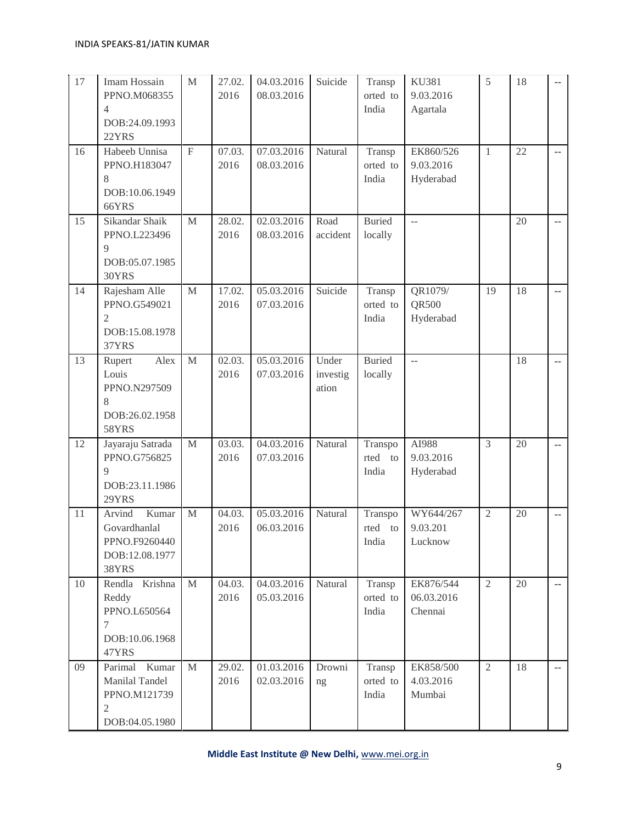| 17 | Imam Hossain<br>PPNO.M068355<br>$\overline{4}$<br>DOB:24.09.1993<br>22YRS   | $\mathbf M$  | 27.02.<br>2016 | 04.03.2016<br>08.03.2016 | Suicide                    | Transp<br>orted to<br>India | <b>KU381</b><br>9.03.2016<br>Agartala | 5              | 18 |                |
|----|-----------------------------------------------------------------------------|--------------|----------------|--------------------------|----------------------------|-----------------------------|---------------------------------------|----------------|----|----------------|
| 16 | Habeeb Unnisa<br>PPNO.H183047<br>8<br>DOB:10.06.1949<br>66YRS               | $\mathbf F$  | 07.03.<br>2016 | 07.03.2016<br>08.03.2016 | Natural                    | Transp<br>orted to<br>India | EK860/526<br>9.03.2016<br>Hyderabad   | $\mathbf{1}$   | 22 | $\overline{a}$ |
| 15 | Sikandar Shaik<br>PPNO.L223496<br>9<br>DOB:05.07.1985<br>30YRS              | $\mathbf{M}$ | 28.02.<br>2016 | 02.03.2016<br>08.03.2016 | Road<br>accident           | <b>Buried</b><br>locally    | $\overline{a}$                        |                | 20 | ۰.             |
| 14 | Rajesham Alle<br>PPNO.G549021<br>$\overline{2}$<br>DOB:15.08.1978<br>37YRS  | $\mathbf M$  | 17.02.<br>2016 | 05.03.2016<br>07.03.2016 | Suicide                    | Transp<br>orted to<br>India | QR1079/<br>QR500<br>Hyderabad         | 19             | 18 | $\overline{a}$ |
| 13 | Alex<br>Rupert<br>Louis<br>PPNO.N297509<br>8<br>DOB:26.02.1958<br>58YRS     | $\mathbf M$  | 02.03.<br>2016 | 05.03.2016<br>07.03.2016 | Under<br>investig<br>ation | <b>Buried</b><br>locally    | ă.                                    |                | 18 | ۰.             |
| 12 | Jayaraju Satrada<br>PPNO.G756825<br>9<br>DOB:23.11.1986<br>29YRS            | $\mathbf M$  | 03.03.<br>2016 | 04.03.2016<br>07.03.2016 | Natural                    | Transpo<br>rted to<br>India | AI988<br>9.03.2016<br>Hyderabad       | $\mathfrak{Z}$ | 20 | ۰.             |
| 11 | Kumar<br>Arvind<br>Govardhanlal<br>PPNO.F9260440<br>DOB:12.08.1977<br>38YRS | $\mathbf M$  | 04.03.<br>2016 | 05.03.2016<br>06.03.2016 | Natural                    | Transpo<br>rted to<br>India | WY644/267<br>9.03.201<br>Lucknow      | $\overline{2}$ | 20 | --             |
| 10 | Krishna<br>Rendla<br>Reddy<br>PPNO.L650564<br>7<br>DOB:10.06.1968<br>47YRS  | $\mathbf M$  | 04.03.<br>2016 | 04.03.2016<br>05.03.2016 | Natural                    | Transp<br>orted to<br>India | EK876/544<br>06.03.2016<br>Chennai    | $\mathfrak{2}$ | 20 | $\sim$         |
| 09 | Parimal Kumar<br>Manilal Tandel<br>PPNO.M121739<br>2<br>DOB:04.05.1980      | M            | 29.02.<br>2016 | 01.03.2016<br>02.03.2016 | Drowni<br>ng               | Transp<br>orted to<br>India | EK858/500<br>4.03.2016<br>Mumbai      | $\overline{2}$ | 18 | н.             |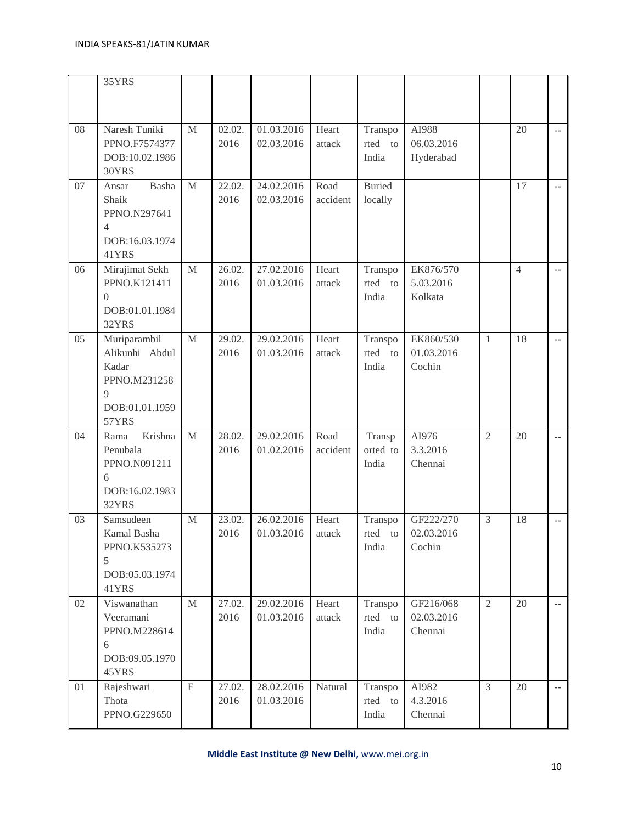|    | 35YRS                                                                                                |                           |                              |                          |                  |                             |                                    |                |                |                          |
|----|------------------------------------------------------------------------------------------------------|---------------------------|------------------------------|--------------------------|------------------|-----------------------------|------------------------------------|----------------|----------------|--------------------------|
| 08 | Naresh Tuniki<br>PPNO.F7574377<br>DOB:10.02.1986<br>30YRS                                            | $\mathbf M$               | 02.02.<br>2016               | 01.03.2016<br>02.03.2016 | Heart<br>attack  | Transpo<br>rted to<br>India | AI988<br>06.03.2016<br>Hyderabad   |                | 20             | $\sim$ $\sim$            |
| 07 | Basha<br>Ansar<br>Shaik<br>PPNO.N297641<br>$\overline{4}$<br>DOB:16.03.1974<br>41YRS                 | M                         | 22.02.<br>2016               | 24.02.2016<br>02.03.2016 | Road<br>accident | <b>Buried</b><br>locally    |                                    |                | 17             | $\overline{\phantom{a}}$ |
| 06 | Mirajimat Sekh<br>PPNO.K121411<br>$\overline{0}$<br>DOB:01.01.1984<br>32YRS                          | $\mathbf M$               | 26.02.<br>2016               | 27.02.2016<br>01.03.2016 | Heart<br>attack  | Transpo<br>rted to<br>India | EK876/570<br>5.03.2016<br>Kolkata  |                | $\overline{4}$ | $\overline{a}$           |
| 05 | Muriparambil<br>Alikunhi Abdul<br>Kadar<br>PPNO.M231258<br>$\overline{Q}$<br>DOB:01.01.1959<br>57YRS | M                         | 29.02.<br>2016               | 29.02.2016<br>01.03.2016 | Heart<br>attack  | Transpo<br>rted to<br>India | EK860/530<br>01.03.2016<br>Cochin  | $\mathbf{1}$   | 18             | $\overline{a}$           |
| 04 | Krishna<br>Rama<br>Penubala<br>PPNO.N091211<br>6<br>DOB:16.02.1983<br>32YRS                          | $\mathbf M$               | $\overline{28.02}$ .<br>2016 | 29.02.2016<br>01.02.2016 | Road<br>accident | Transp<br>orted to<br>India | AI976<br>3.3.2016<br>Chennai       | $\overline{2}$ | 20             | $\overline{a}$           |
| 03 | Samsudeen<br>Kamal Basha<br>PPNO.K535273<br>5<br>DOB:05.03.1974<br>41YRS                             | M                         | 23.02.<br>2016               | 26.02.2016<br>01.03.2016 | Heart<br>attack  | Transpo<br>rted to<br>India | GF222/270<br>02.03.2016<br>Cochin  | $\mathfrak{Z}$ | 18             | ۰.                       |
| 02 | Viswanathan<br>Veeramani<br>PPNO.M228614<br>6<br>DOB:09.05.1970<br>45YRS                             | M                         | 27.02.<br>2016               | 29.02.2016<br>01.03.2016 | Heart<br>attack  | Transpo<br>rted to<br>India | GF216/068<br>02.03.2016<br>Chennai | 2              | 20             | $\sim$                   |
| 01 | Rajeshwari<br>Thota<br>PPNO.G229650                                                                  | $\boldsymbol{\mathrm{F}}$ | 27.02.<br>2016               | 28.02.2016<br>01.03.2016 | Natural          | Transpo<br>rted to<br>India | AI982<br>4.3.2016<br>Chennai       | $\overline{3}$ | 20             | $\sim$                   |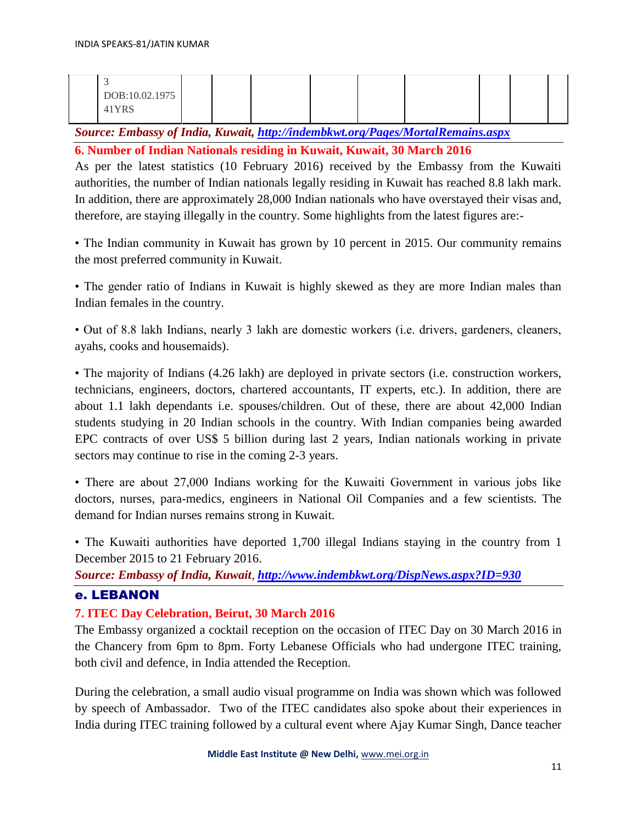| DOB:10.02.1975 |  |  |  |  |  |
|----------------|--|--|--|--|--|
| 41YRS          |  |  |  |  |  |
|                |  |  |  |  |  |

*Source: Embassy of India, Kuwait,<http://indembkwt.org/Pages/MortalRemains.aspx>*

**6. Number of Indian Nationals residing in Kuwait, Kuwait, 30 March 2016** 

As per the latest statistics (10 February 2016) received by the Embassy from the Kuwaiti authorities, the number of Indian nationals legally residing in Kuwait has reached 8.8 lakh mark. In addition, there are approximately 28,000 Indian nationals who have overstayed their visas and, therefore, are staying illegally in the country. Some highlights from the latest figures are:-

• The Indian community in Kuwait has grown by 10 percent in 2015. Our community remains the most preferred community in Kuwait.

• The gender ratio of Indians in Kuwait is highly skewed as they are more Indian males than Indian females in the country.

• Out of 8.8 lakh Indians, nearly 3 lakh are domestic workers (i.e. drivers, gardeners, cleaners, ayahs, cooks and housemaids).

• The majority of Indians (4.26 lakh) are deployed in private sectors (i.e. construction workers, technicians, engineers, doctors, chartered accountants, IT experts, etc.). In addition, there are about 1.1 lakh dependants i.e. spouses/children. Out of these, there are about 42,000 Indian students studying in 20 Indian schools in the country. With Indian companies being awarded EPC contracts of over US\$ 5 billion during last 2 years, Indian nationals working in private sectors may continue to rise in the coming 2-3 years.

• There are about 27,000 Indians working for the Kuwaiti Government in various jobs like doctors, nurses, para-medics, engineers in National Oil Companies and a few scientists. The demand for Indian nurses remains strong in Kuwait.

• The Kuwaiti authorities have deported 1,700 illegal Indians staying in the country from 1 December 2015 to 21 February 2016.

*Source: Embassy of India, Kuwait, <http://www.indembkwt.org/DispNews.aspx?ID=930>*

## e. LEBANON

## **7. ITEC Day Celebration, Beirut, 30 March 2016**

The Embassy organized a cocktail reception on the occasion of ITEC Day on 30 March 2016 in the Chancery from 6pm to 8pm. Forty Lebanese Officials who had undergone ITEC training, both civil and defence, in India attended the Reception.

During the celebration, a small audio visual programme on India was shown which was followed by speech of Ambassador. Two of the ITEC candidates also spoke about their experiences in India during ITEC training followed by a cultural event where Ajay Kumar Singh, Dance teacher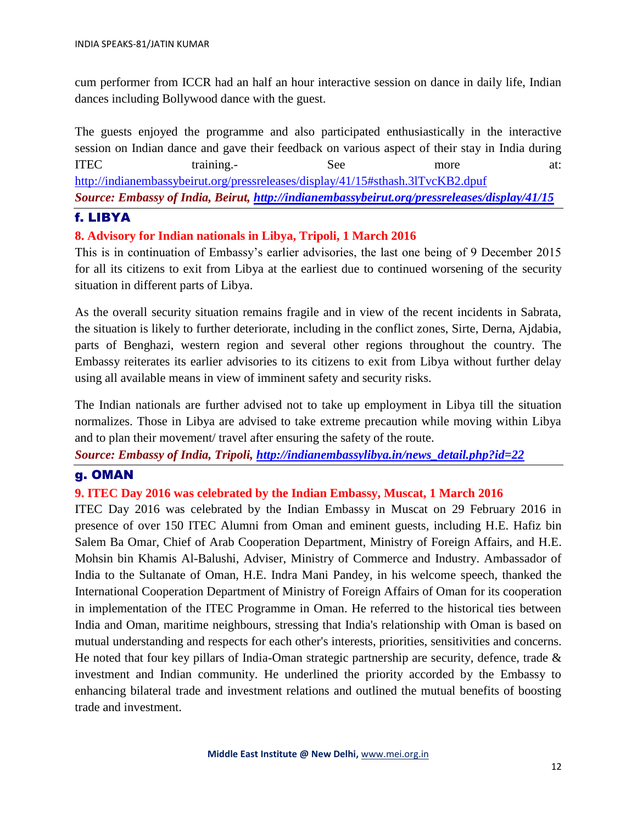cum performer from ICCR had an half an hour interactive session on dance in daily life, Indian dances including Bollywood dance with the guest.

The guests enjoyed the programme and also participated enthusiastically in the interactive session on Indian dance and gave their feedback on various aspect of their stay in India during ITEC training.- See more at: <http://indianembassybeirut.org/pressreleases/display/41/15#sthash.3lTvcKB2.dpuf> *Source: Embassy of India, Beirut,<http://indianembassybeirut.org/pressreleases/display/41/15>*

## f. LIBYA

## **8. Advisory for Indian nationals in Libya, Tripoli, 1 March 2016**

This is in continuation of Embassy's earlier advisories, the last one being of 9 December 2015 for all its citizens to exit from Libya at the earliest due to continued worsening of the security situation in different parts of Libya.

As the overall security situation remains fragile and in view of the recent incidents in Sabrata, the situation is likely to further deteriorate, including in the conflict zones, Sirte, Derna, Ajdabia, parts of Benghazi, western region and several other regions throughout the country. The Embassy reiterates its earlier advisories to its citizens to exit from Libya without further delay using all available means in view of imminent safety and security risks.

The Indian nationals are further advised not to take up employment in Libya till the situation normalizes. Those in Libya are advised to take extreme precaution while moving within Libya and to plan their movement/ travel after ensuring the safety of the route.

*Source: Embassy of India, Tripoli, [http://indianembassylibya.in/news\\_detail.php?id=22](http://indianembassylibya.in/news_detail.php?id=22)*

## g. OMAN

## **9. ITEC Day 2016 was celebrated by the Indian Embassy, Muscat, 1 March 2016**

ITEC Day 2016 was celebrated by the Indian Embassy in Muscat on 29 February 2016 in presence of over 150 ITEC Alumni from Oman and eminent guests, including H.E. Hafiz bin Salem Ba Omar, Chief of Arab Cooperation Department, Ministry of Foreign Affairs, and H.E. Mohsin bin Khamis Al-Balushi, Adviser, Ministry of Commerce and Industry. Ambassador of India to the Sultanate of Oman, H.E. Indra Mani Pandey, in his welcome speech, thanked the International Cooperation Department of Ministry of Foreign Affairs of Oman for its cooperation in implementation of the ITEC Programme in Oman. He referred to the historical ties between India and Oman, maritime neighbours, stressing that India's relationship with Oman is based on mutual understanding and respects for each other's interests, priorities, sensitivities and concerns. He noted that four key pillars of India-Oman strategic partnership are security, defence, trade  $\&$ investment and Indian community. He underlined the priority accorded by the Embassy to enhancing bilateral trade and investment relations and outlined the mutual benefits of boosting trade and investment.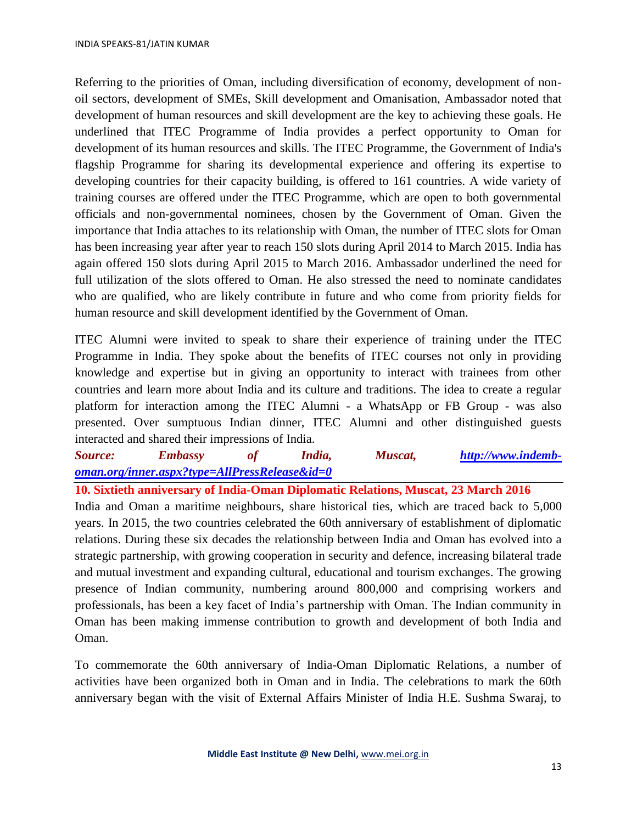Referring to the priorities of Oman, including diversification of economy, development of nonoil sectors, development of SMEs, Skill development and Omanisation, Ambassador noted that development of human resources and skill development are the key to achieving these goals. He underlined that ITEC Programme of India provides a perfect opportunity to Oman for development of its human resources and skills. The ITEC Programme, the Government of India's flagship Programme for sharing its developmental experience and offering its expertise to developing countries for their capacity building, is offered to 161 countries. A wide variety of training courses are offered under the ITEC Programme, which are open to both governmental officials and non-governmental nominees, chosen by the Government of Oman. Given the importance that India attaches to its relationship with Oman, the number of ITEC slots for Oman has been increasing year after year to reach 150 slots during April 2014 to March 2015. India has again offered 150 slots during April 2015 to March 2016. Ambassador underlined the need for full utilization of the slots offered to Oman. He also stressed the need to nominate candidates who are qualified, who are likely contribute in future and who come from priority fields for human resource and skill development identified by the Government of Oman.

ITEC Alumni were invited to speak to share their experience of training under the ITEC Programme in India. They spoke about the benefits of ITEC courses not only in providing knowledge and expertise but in giving an opportunity to interact with trainees from other countries and learn more about India and its culture and traditions. The idea to create a regular platform for interaction among the ITEC Alumni - a WhatsApp or FB Group - was also presented. Over sumptuous Indian dinner, ITEC Alumni and other distinguished guests interacted and shared their impressions of India.

*Source: Embassy of India, Muscat, [http://www.indemb](http://www.indemb-oman.org/inner.aspx?type=AllPressRelease&id=0)[oman.org/inner.aspx?type=AllPressRelease&id=0](http://www.indemb-oman.org/inner.aspx?type=AllPressRelease&id=0)*

**10. Sixtieth anniversary of India-Oman Diplomatic Relations, Muscat, 23 March 2016** India and Oman a maritime neighbours, share historical ties, which are traced back to 5,000 years. In 2015, the two countries celebrated the 60th anniversary of establishment of diplomatic relations. During these six decades the relationship between India and Oman has evolved into a strategic partnership, with growing cooperation in security and defence, increasing bilateral trade and mutual investment and expanding cultural, educational and tourism exchanges. The growing presence of Indian community, numbering around 800,000 and comprising workers and professionals, has been a key facet of India's partnership with Oman. The Indian community in Oman has been making immense contribution to growth and development of both India and Oman.

To commemorate the 60th anniversary of India-Oman Diplomatic Relations, a number of activities have been organized both in Oman and in India. The celebrations to mark the 60th anniversary began with the visit of External Affairs Minister of India H.E. Sushma Swaraj, to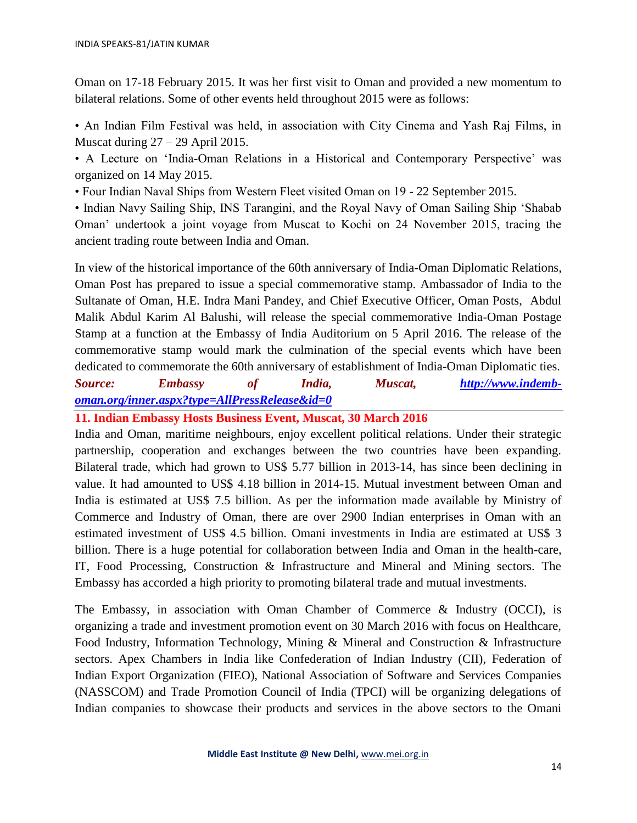Oman on 17-18 February 2015. It was her first visit to Oman and provided a new momentum to bilateral relations. Some of other events held throughout 2015 were as follows:

• An Indian Film Festival was held, in association with City Cinema and Yash Raj Films, in Muscat during  $27 - 29$  April 2015.

• A Lecture on 'India-Oman Relations in a Historical and Contemporary Perspective' was organized on 14 May 2015.

• Four Indian Naval Ships from Western Fleet visited Oman on 19 - 22 September 2015.

• Indian Navy Sailing Ship, INS Tarangini, and the Royal Navy of Oman Sailing Ship 'Shabab Oman' undertook a joint voyage from Muscat to Kochi on 24 November 2015, tracing the ancient trading route between India and Oman.

In view of the historical importance of the 60th anniversary of India-Oman Diplomatic Relations, Oman Post has prepared to issue a special commemorative stamp. Ambassador of India to the Sultanate of Oman, H.E. Indra Mani Pandey, and Chief Executive Officer, Oman Posts, Abdul Malik Abdul Karim Al Balushi, will release the special commemorative India-Oman Postage Stamp at a function at the Embassy of India Auditorium on 5 April 2016. The release of the commemorative stamp would mark the culmination of the special events which have been dedicated to commemorate the 60th anniversary of establishment of India-Oman Diplomatic ties.

*Source: Embassy of India, Muscat, [http://www.indemb](http://www.indemb-oman.org/inner.aspx?type=AllPressRelease&id=0)[oman.org/inner.aspx?type=AllPressRelease&id=0](http://www.indemb-oman.org/inner.aspx?type=AllPressRelease&id=0)*

**11. Indian Embassy Hosts Business Event, Muscat, 30 March 2016** 

India and Oman, maritime neighbours, enjoy excellent political relations. Under their strategic partnership, cooperation and exchanges between the two countries have been expanding. Bilateral trade, which had grown to US\$ 5.77 billion in 2013-14, has since been declining in value. It had amounted to US\$ 4.18 billion in 2014-15. Mutual investment between Oman and India is estimated at US\$ 7.5 billion. As per the information made available by Ministry of Commerce and Industry of Oman, there are over 2900 Indian enterprises in Oman with an estimated investment of US\$ 4.5 billion. Omani investments in India are estimated at US\$ 3 billion. There is a huge potential for collaboration between India and Oman in the health-care, IT, Food Processing, Construction & Infrastructure and Mineral and Mining sectors. The Embassy has accorded a high priority to promoting bilateral trade and mutual investments.

The Embassy, in association with Oman Chamber of Commerce & Industry (OCCI), is organizing a trade and investment promotion event on 30 March 2016 with focus on Healthcare, Food Industry, Information Technology, Mining & Mineral and Construction & Infrastructure sectors. Apex Chambers in India like Confederation of Indian Industry (CII), Federation of Indian Export Organization (FIEO), National Association of Software and Services Companies (NASSCOM) and Trade Promotion Council of India (TPCI) will be organizing delegations of Indian companies to showcase their products and services in the above sectors to the Omani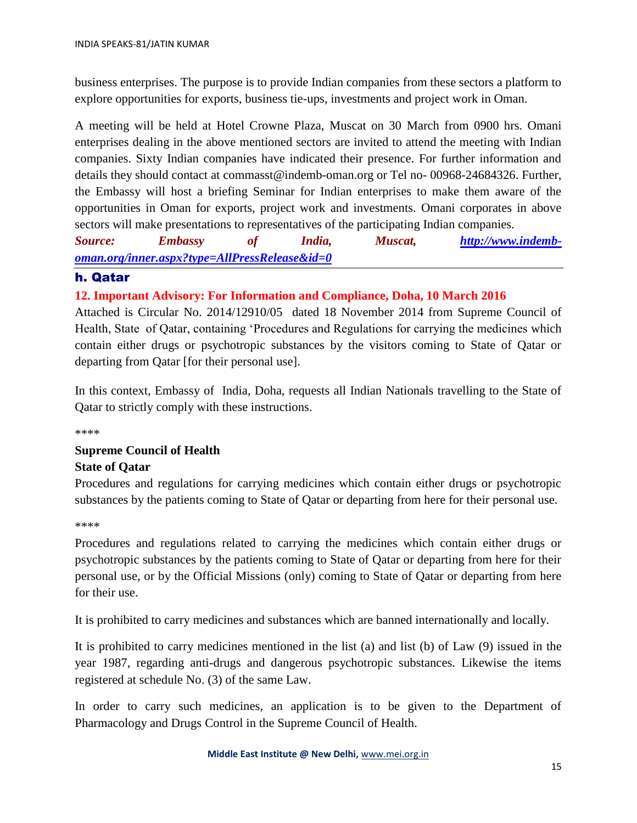business enterprises. The purpose is to provide Indian companies from these sectors a platform to explore opportunities for exports, business tie-ups, investments and project work in Oman.

A meeting will be held at Hotel Crowne Plaza, Muscat on 30 March from 0900 hrs. Omani enterprises dealing in the above mentioned sectors are invited to attend the meeting with Indian companies. Sixty Indian companies have indicated their presence. For further information and details they should contact at commasst@indemb-oman.org or Tel no- 00968-24684326. Further, the Embassy will host a briefing Seminar for Indian enterprises to make them aware of the opportunities in Oman for exports, project work and investments. Omani corporates in above sectors will make presentations to representatives of the participating Indian companies.

*Source: Embassy of India, Muscat, [http://www.indemb](http://www.indemb-oman.org/inner.aspx?type=AllPressRelease&id=0)[oman.org/inner.aspx?type=AllPressRelease&id=0](http://www.indemb-oman.org/inner.aspx?type=AllPressRelease&id=0)*

## h. Qatar

## **12. Important Advisory: For Information and Compliance, Doha, 10 March 2016**

Attached is Circular No. 2014/12910/05 dated 18 November 2014 from Supreme Council of Health, State of Qatar, containing 'Procedures and Regulations for carrying the medicines which contain either drugs or psychotropic substances by the visitors coming to State of Qatar or departing from Qatar [for their personal use].

In this context, Embassy of India, Doha, requests all Indian Nationals travelling to the State of Qatar to strictly comply with these instructions.

\*\*\*\*

## **Supreme Council of Health State of Qatar**

Procedures and regulations for carrying medicines which contain either drugs or psychotropic substances by the patients coming to State of Qatar or departing from here for their personal use.

#### \*\*\*\*

Procedures and regulations related to carrying the medicines which contain either drugs or psychotropic substances by the patients coming to State of Qatar or departing from here for their personal use, or by the Official Missions (only) coming to State of Qatar or departing from here for their use.

It is prohibited to carry medicines and substances which are banned internationally and locally.

It is prohibited to carry medicines mentioned in the list (a) and list (b) of Law (9) issued in the year 1987, regarding anti-drugs and dangerous psychotropic substances. Likewise the items registered at schedule No. (3) of the same Law.

In order to carry such medicines, an application is to be given to the Department of Pharmacology and Drugs Control in the Supreme Council of Health.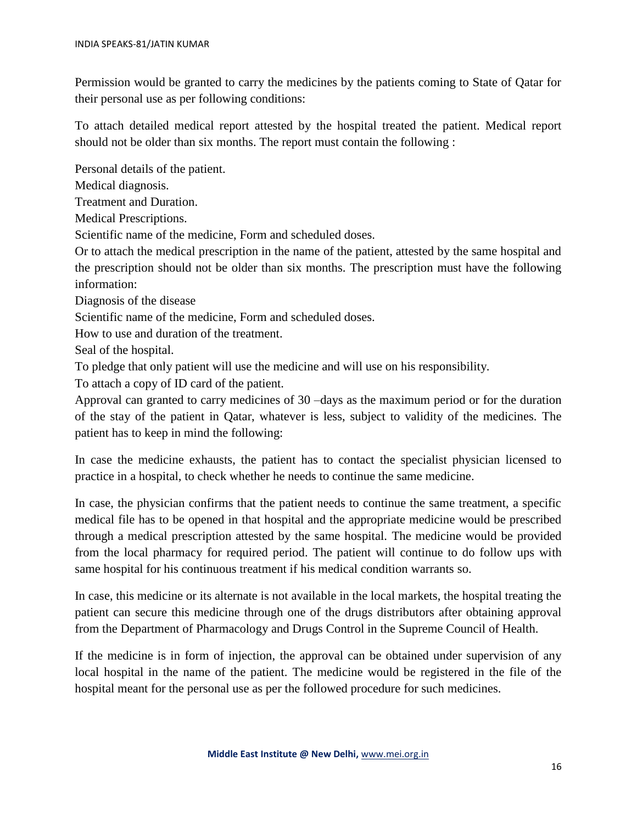Permission would be granted to carry the medicines by the patients coming to State of Qatar for their personal use as per following conditions:

To attach detailed medical report attested by the hospital treated the patient. Medical report should not be older than six months. The report must contain the following :

Personal details of the patient.

Medical diagnosis.

Treatment and Duration.

Medical Prescriptions.

Scientific name of the medicine, Form and scheduled doses.

Or to attach the medical prescription in the name of the patient, attested by the same hospital and the prescription should not be older than six months. The prescription must have the following information:

Diagnosis of the disease

Scientific name of the medicine, Form and scheduled doses.

How to use and duration of the treatment.

Seal of the hospital.

To pledge that only patient will use the medicine and will use on his responsibility.

To attach a copy of ID card of the patient.

Approval can granted to carry medicines of 30 –days as the maximum period or for the duration of the stay of the patient in Qatar, whatever is less, subject to validity of the medicines. The patient has to keep in mind the following:

In case the medicine exhausts, the patient has to contact the specialist physician licensed to practice in a hospital, to check whether he needs to continue the same medicine.

In case, the physician confirms that the patient needs to continue the same treatment, a specific medical file has to be opened in that hospital and the appropriate medicine would be prescribed through a medical prescription attested by the same hospital. The medicine would be provided from the local pharmacy for required period. The patient will continue to do follow ups with same hospital for his continuous treatment if his medical condition warrants so.

In case, this medicine or its alternate is not available in the local markets, the hospital treating the patient can secure this medicine through one of the drugs distributors after obtaining approval from the Department of Pharmacology and Drugs Control in the Supreme Council of Health.

If the medicine is in form of injection, the approval can be obtained under supervision of any local hospital in the name of the patient. The medicine would be registered in the file of the hospital meant for the personal use as per the followed procedure for such medicines.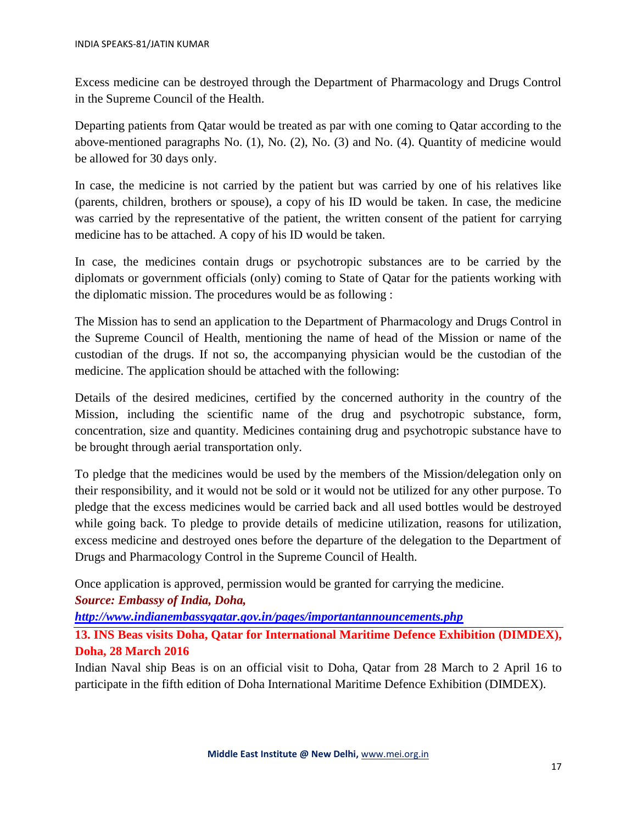Excess medicine can be destroyed through the Department of Pharmacology and Drugs Control in the Supreme Council of the Health.

Departing patients from Qatar would be treated as par with one coming to Qatar according to the above-mentioned paragraphs No. (1), No. (2), No. (3) and No. (4). Quantity of medicine would be allowed for 30 days only.

In case, the medicine is not carried by the patient but was carried by one of his relatives like (parents, children, brothers or spouse), a copy of his ID would be taken. In case, the medicine was carried by the representative of the patient, the written consent of the patient for carrying medicine has to be attached. A copy of his ID would be taken.

In case, the medicines contain drugs or psychotropic substances are to be carried by the diplomats or government officials (only) coming to State of Qatar for the patients working with the diplomatic mission. The procedures would be as following :

The Mission has to send an application to the Department of Pharmacology and Drugs Control in the Supreme Council of Health, mentioning the name of head of the Mission or name of the custodian of the drugs. If not so, the accompanying physician would be the custodian of the medicine. The application should be attached with the following:

Details of the desired medicines, certified by the concerned authority in the country of the Mission, including the scientific name of the drug and psychotropic substance, form, concentration, size and quantity. Medicines containing drug and psychotropic substance have to be brought through aerial transportation only.

To pledge that the medicines would be used by the members of the Mission/delegation only on their responsibility, and it would not be sold or it would not be utilized for any other purpose. To pledge that the excess medicines would be carried back and all used bottles would be destroyed while going back. To pledge to provide details of medicine utilization, reasons for utilization, excess medicine and destroyed ones before the departure of the delegation to the Department of Drugs and Pharmacology Control in the Supreme Council of Health.

Once application is approved, permission would be granted for carrying the medicine.

*Source: Embassy of India, Doha,* 

*<http://www.indianembassyqatar.gov.in/pages/importantannouncements.php>*

**13. INS Beas visits Doha, Qatar for International Maritime Defence Exhibition (DIMDEX), Doha, 28 March 2016**

Indian Naval ship Beas is on an official visit to Doha, Qatar from 28 March to 2 April 16 to participate in the fifth edition of Doha International Maritime Defence Exhibition (DIMDEX).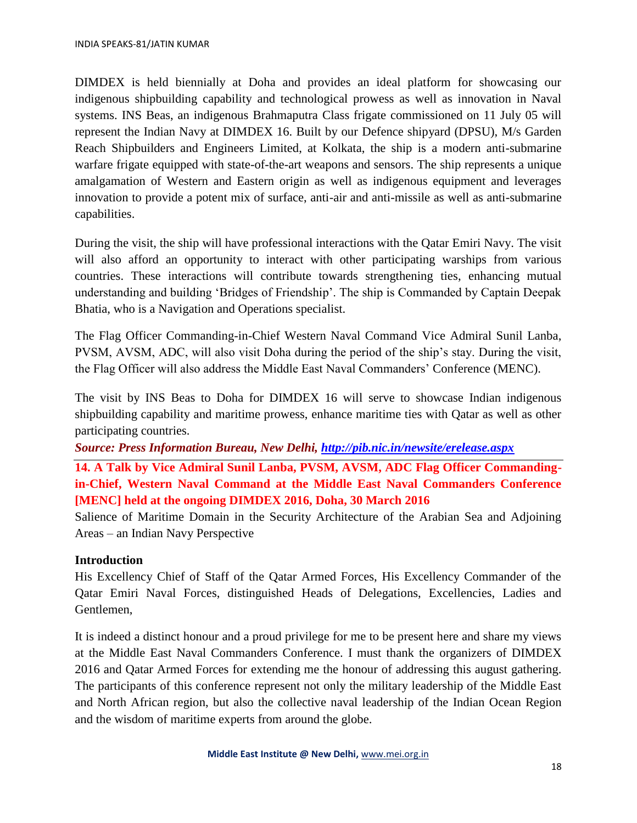DIMDEX is held biennially at Doha and provides an ideal platform for showcasing our indigenous shipbuilding capability and technological prowess as well as innovation in Naval systems. INS Beas, an indigenous Brahmaputra Class frigate commissioned on 11 July 05 will represent the Indian Navy at DIMDEX 16. Built by our Defence shipyard (DPSU), M/s Garden Reach Shipbuilders and Engineers Limited, at Kolkata, the ship is a modern anti-submarine warfare frigate equipped with state-of-the-art weapons and sensors. The ship represents a unique amalgamation of Western and Eastern origin as well as indigenous equipment and leverages innovation to provide a potent mix of surface, anti-air and anti-missile as well as anti-submarine capabilities.

During the visit, the ship will have professional interactions with the Qatar Emiri Navy. The visit will also afford an opportunity to interact with other participating warships from various countries. These interactions will contribute towards strengthening ties, enhancing mutual understanding and building 'Bridges of Friendship'. The ship is Commanded by Captain Deepak Bhatia, who is a Navigation and Operations specialist.

The Flag Officer Commanding-in-Chief Western Naval Command Vice Admiral Sunil Lanba, PVSM, AVSM, ADC, will also visit Doha during the period of the ship's stay. During the visit, the Flag Officer will also address the Middle East Naval Commanders' Conference (MENC).

The visit by INS Beas to Doha for DIMDEX 16 will serve to showcase Indian indigenous shipbuilding capability and maritime prowess, enhance maritime ties with Qatar as well as other participating countries.

*Source: Press Information Bureau, New Delhi,<http://pib.nic.in/newsite/erelease.aspx>*

**14. A Talk by Vice Admiral Sunil Lanba, PVSM, AVSM, ADC Flag Officer Commandingin-Chief, Western Naval Command at the Middle East Naval Commanders Conference [MENC] held at the ongoing DIMDEX 2016, Doha, 30 March 2016**

Salience of Maritime Domain in the Security Architecture of the Arabian Sea and Adjoining Areas – an Indian Navy Perspective

## **Introduction**

His Excellency Chief of Staff of the Qatar Armed Forces, His Excellency Commander of the Qatar Emiri Naval Forces, distinguished Heads of Delegations, Excellencies, Ladies and Gentlemen,

It is indeed a distinct honour and a proud privilege for me to be present here and share my views at the Middle East Naval Commanders Conference. I must thank the organizers of DIMDEX 2016 and Qatar Armed Forces for extending me the honour of addressing this august gathering. The participants of this conference represent not only the military leadership of the Middle East and North African region, but also the collective naval leadership of the Indian Ocean Region and the wisdom of maritime experts from around the globe.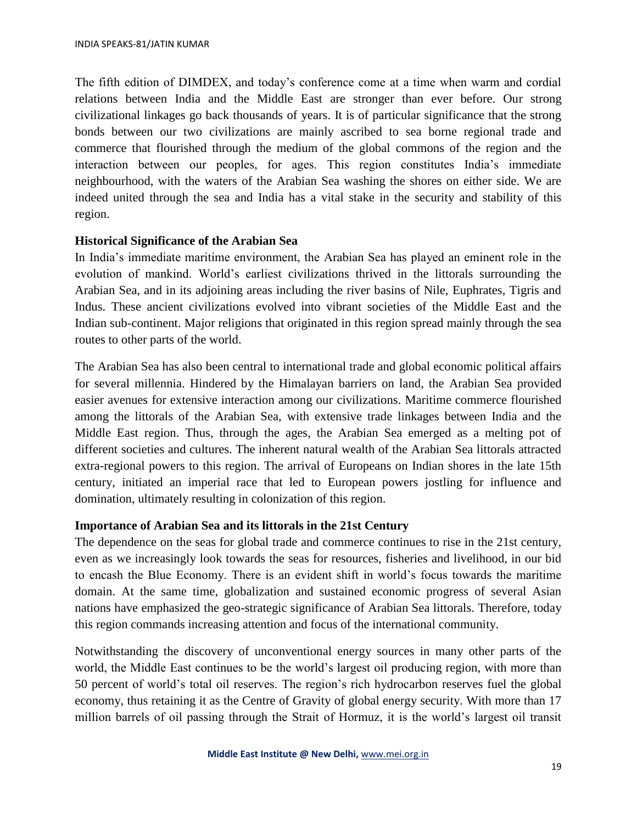The fifth edition of DIMDEX, and today's conference come at a time when warm and cordial relations between India and the Middle East are stronger than ever before. Our strong civilizational linkages go back thousands of years. It is of particular significance that the strong bonds between our two civilizations are mainly ascribed to sea borne regional trade and commerce that flourished through the medium of the global commons of the region and the interaction between our peoples, for ages. This region constitutes India's immediate neighbourhood, with the waters of the Arabian Sea washing the shores on either side. We are indeed united through the sea and India has a vital stake in the security and stability of this region.

## **Historical Significance of the Arabian Sea**

In India's immediate maritime environment, the Arabian Sea has played an eminent role in the evolution of mankind. World's earliest civilizations thrived in the littorals surrounding the Arabian Sea, and in its adjoining areas including the river basins of Nile, Euphrates, Tigris and Indus. These ancient civilizations evolved into vibrant societies of the Middle East and the Indian sub-continent. Major religions that originated in this region spread mainly through the sea routes to other parts of the world.

The Arabian Sea has also been central to international trade and global economic political affairs for several millennia. Hindered by the Himalayan barriers on land, the Arabian Sea provided easier avenues for extensive interaction among our civilizations. Maritime commerce flourished among the littorals of the Arabian Sea, with extensive trade linkages between India and the Middle East region. Thus, through the ages, the Arabian Sea emerged as a melting pot of different societies and cultures. The inherent natural wealth of the Arabian Sea littorals attracted extra-regional powers to this region. The arrival of Europeans on Indian shores in the late 15th century, initiated an imperial race that led to European powers jostling for influence and domination, ultimately resulting in colonization of this region.

## **Importance of Arabian Sea and its littorals in the 21st Century**

The dependence on the seas for global trade and commerce continues to rise in the 21st century, even as we increasingly look towards the seas for resources, fisheries and livelihood, in our bid to encash the Blue Economy. There is an evident shift in world's focus towards the maritime domain. At the same time, globalization and sustained economic progress of several Asian nations have emphasized the geo-strategic significance of Arabian Sea littorals. Therefore, today this region commands increasing attention and focus of the international community.

Notwithstanding the discovery of unconventional energy sources in many other parts of the world, the Middle East continues to be the world's largest oil producing region, with more than 50 percent of world's total oil reserves. The region's rich hydrocarbon reserves fuel the global economy, thus retaining it as the Centre of Gravity of global energy security. With more than 17 million barrels of oil passing through the Strait of Hormuz, it is the world's largest oil transit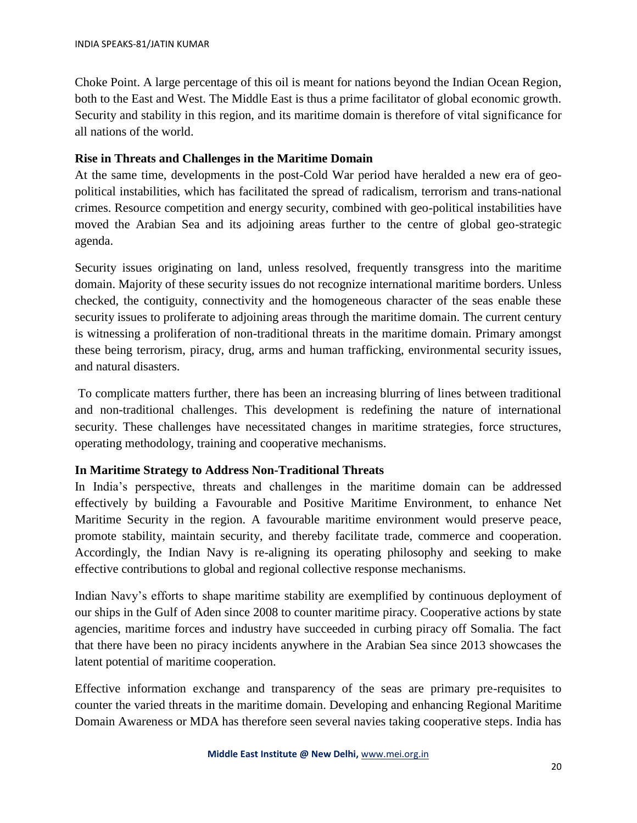Choke Point. A large percentage of this oil is meant for nations beyond the Indian Ocean Region, both to the East and West. The Middle East is thus a prime facilitator of global economic growth. Security and stability in this region, and its maritime domain is therefore of vital significance for all nations of the world.

## **Rise in Threats and Challenges in the Maritime Domain**

At the same time, developments in the post-Cold War period have heralded a new era of geopolitical instabilities, which has facilitated the spread of radicalism, terrorism and trans-national crimes. Resource competition and energy security, combined with geo-political instabilities have moved the Arabian Sea and its adjoining areas further to the centre of global geo-strategic agenda.

Security issues originating on land, unless resolved, frequently transgress into the maritime domain. Majority of these security issues do not recognize international maritime borders. Unless checked, the contiguity, connectivity and the homogeneous character of the seas enable these security issues to proliferate to adjoining areas through the maritime domain. The current century is witnessing a proliferation of non-traditional threats in the maritime domain. Primary amongst these being terrorism, piracy, drug, arms and human trafficking, environmental security issues, and natural disasters.

To complicate matters further, there has been an increasing blurring of lines between traditional and non-traditional challenges. This development is redefining the nature of international security. These challenges have necessitated changes in maritime strategies, force structures, operating methodology, training and cooperative mechanisms.

## **In Maritime Strategy to Address Non-Traditional Threats**

In India's perspective, threats and challenges in the maritime domain can be addressed effectively by building a Favourable and Positive Maritime Environment, to enhance Net Maritime Security in the region. A favourable maritime environment would preserve peace, promote stability, maintain security, and thereby facilitate trade, commerce and cooperation. Accordingly, the Indian Navy is re-aligning its operating philosophy and seeking to make effective contributions to global and regional collective response mechanisms.

Indian Navy's efforts to shape maritime stability are exemplified by continuous deployment of our ships in the Gulf of Aden since 2008 to counter maritime piracy. Cooperative actions by state agencies, maritime forces and industry have succeeded in curbing piracy off Somalia. The fact that there have been no piracy incidents anywhere in the Arabian Sea since 2013 showcases the latent potential of maritime cooperation.

Effective information exchange and transparency of the seas are primary pre-requisites to counter the varied threats in the maritime domain. Developing and enhancing Regional Maritime Domain Awareness or MDA has therefore seen several navies taking cooperative steps. India has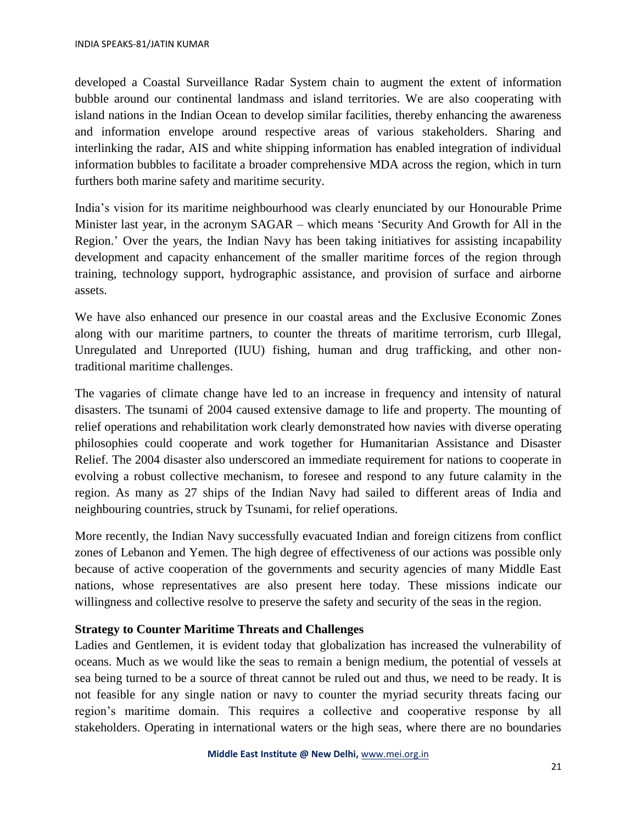developed a Coastal Surveillance Radar System chain to augment the extent of information bubble around our continental landmass and island territories. We are also cooperating with island nations in the Indian Ocean to develop similar facilities, thereby enhancing the awareness and information envelope around respective areas of various stakeholders. Sharing and interlinking the radar, AIS and white shipping information has enabled integration of individual information bubbles to facilitate a broader comprehensive MDA across the region, which in turn furthers both marine safety and maritime security.

India's vision for its maritime neighbourhood was clearly enunciated by our Honourable Prime Minister last year, in the acronym SAGAR – which means 'Security And Growth for All in the Region.' Over the years, the Indian Navy has been taking initiatives for assisting incapability development and capacity enhancement of the smaller maritime forces of the region through training, technology support, hydrographic assistance, and provision of surface and airborne assets.

We have also enhanced our presence in our coastal areas and the Exclusive Economic Zones along with our maritime partners, to counter the threats of maritime terrorism, curb Illegal, Unregulated and Unreported (IUU) fishing, human and drug trafficking, and other nontraditional maritime challenges.

The vagaries of climate change have led to an increase in frequency and intensity of natural disasters. The tsunami of 2004 caused extensive damage to life and property. The mounting of relief operations and rehabilitation work clearly demonstrated how navies with diverse operating philosophies could cooperate and work together for Humanitarian Assistance and Disaster Relief. The 2004 disaster also underscored an immediate requirement for nations to cooperate in evolving a robust collective mechanism, to foresee and respond to any future calamity in the region. As many as 27 ships of the Indian Navy had sailed to different areas of India and neighbouring countries, struck by Tsunami, for relief operations.

More recently, the Indian Navy successfully evacuated Indian and foreign citizens from conflict zones of Lebanon and Yemen. The high degree of effectiveness of our actions was possible only because of active cooperation of the governments and security agencies of many Middle East nations, whose representatives are also present here today. These missions indicate our willingness and collective resolve to preserve the safety and security of the seas in the region.

## **Strategy to Counter Maritime Threats and Challenges**

Ladies and Gentlemen, it is evident today that globalization has increased the vulnerability of oceans. Much as we would like the seas to remain a benign medium, the potential of vessels at sea being turned to be a source of threat cannot be ruled out and thus, we need to be ready. It is not feasible for any single nation or navy to counter the myriad security threats facing our region's maritime domain. This requires a collective and cooperative response by all stakeholders. Operating in international waters or the high seas, where there are no boundaries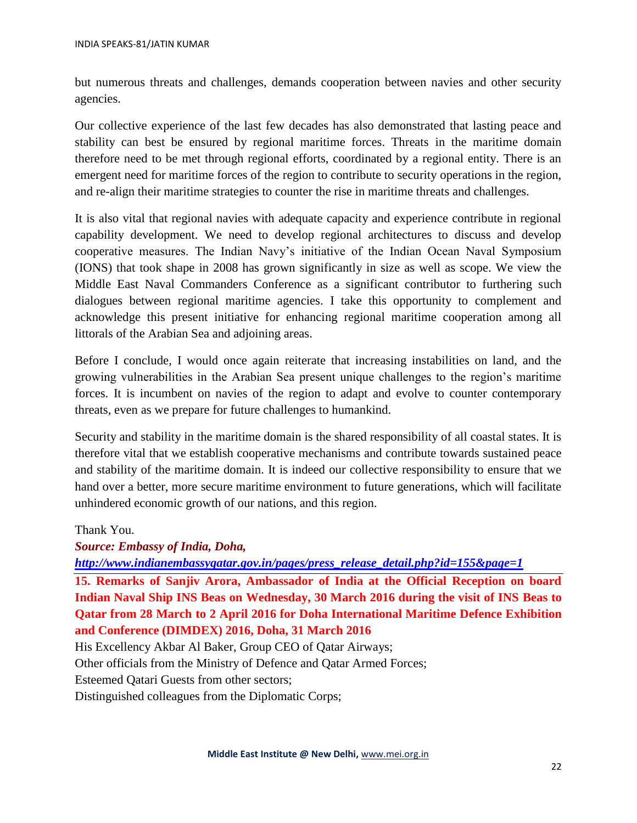but numerous threats and challenges, demands cooperation between navies and other security agencies.

Our collective experience of the last few decades has also demonstrated that lasting peace and stability can best be ensured by regional maritime forces. Threats in the maritime domain therefore need to be met through regional efforts, coordinated by a regional entity. There is an emergent need for maritime forces of the region to contribute to security operations in the region, and re-align their maritime strategies to counter the rise in maritime threats and challenges.

It is also vital that regional navies with adequate capacity and experience contribute in regional capability development. We need to develop regional architectures to discuss and develop cooperative measures. The Indian Navy's initiative of the Indian Ocean Naval Symposium (IONS) that took shape in 2008 has grown significantly in size as well as scope. We view the Middle East Naval Commanders Conference as a significant contributor to furthering such dialogues between regional maritime agencies. I take this opportunity to complement and acknowledge this present initiative for enhancing regional maritime cooperation among all littorals of the Arabian Sea and adjoining areas.

Before I conclude, I would once again reiterate that increasing instabilities on land, and the growing vulnerabilities in the Arabian Sea present unique challenges to the region's maritime forces. It is incumbent on navies of the region to adapt and evolve to counter contemporary threats, even as we prepare for future challenges to humankind.

Security and stability in the maritime domain is the shared responsibility of all coastal states. It is therefore vital that we establish cooperative mechanisms and contribute towards sustained peace and stability of the maritime domain. It is indeed our collective responsibility to ensure that we hand over a better, more secure maritime environment to future generations, which will facilitate unhindered economic growth of our nations, and this region.

Thank You.

*Source: Embassy of India, Doha,* 

*[http://www.indianembassyqatar.gov.in/pages/press\\_release\\_detail.php?id=155&page=1](http://www.indianembassyqatar.gov.in/pages/press_release_detail.php?id=155&page=1)*

**15. Remarks of Sanjiv Arora, Ambassador of India at the Official Reception on board Indian Naval Ship INS Beas on Wednesday, 30 March 2016 during the visit of INS Beas to Qatar from 28 March to 2 April 2016 for Doha International Maritime Defence Exhibition and Conference (DIMDEX) 2016, Doha, 31 March 2016**

His Excellency Akbar Al Baker, Group CEO of Qatar Airways;

Other officials from the Ministry of Defence and Qatar Armed Forces;

Esteemed Qatari Guests from other sectors;

Distinguished colleagues from the Diplomatic Corps;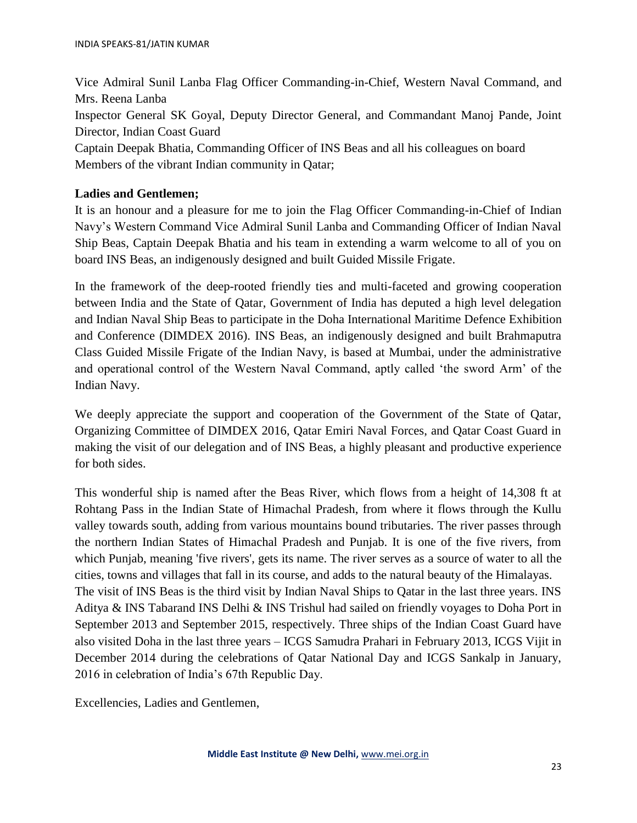Vice Admiral Sunil Lanba Flag Officer Commanding-in-Chief, Western Naval Command, and Mrs. Reena Lanba Inspector General SK Goyal, Deputy Director General, and Commandant Manoj Pande, Joint Director, Indian Coast Guard Captain Deepak Bhatia, Commanding Officer of INS Beas and all his colleagues on board Members of the vibrant Indian community in Qatar;

## **Ladies and Gentlemen;**

It is an honour and a pleasure for me to join the Flag Officer Commanding-in-Chief of Indian Navy's Western Command Vice Admiral Sunil Lanba and Commanding Officer of Indian Naval Ship Beas, Captain Deepak Bhatia and his team in extending a warm welcome to all of you on board INS Beas, an indigenously designed and built Guided Missile Frigate.

In the framework of the deep-rooted friendly ties and multi-faceted and growing cooperation between India and the State of Qatar, Government of India has deputed a high level delegation and Indian Naval Ship Beas to participate in the Doha International Maritime Defence Exhibition and Conference (DIMDEX 2016). INS Beas, an indigenously designed and built Brahmaputra Class Guided Missile Frigate of the Indian Navy, is based at Mumbai, under the administrative and operational control of the Western Naval Command, aptly called 'the sword Arm' of the Indian Navy.

We deeply appreciate the support and cooperation of the Government of the State of Qatar, Organizing Committee of DIMDEX 2016, Qatar Emiri Naval Forces, and Qatar Coast Guard in making the visit of our delegation and of INS Beas, a highly pleasant and productive experience for both sides.

This wonderful ship is named after the Beas River, which flows from a height of 14,308 ft at Rohtang Pass in the Indian State of Himachal Pradesh, from where it flows through the Kullu valley towards south, adding from various mountains bound tributaries. The river passes through the northern Indian States of Himachal Pradesh and Punjab. It is one of the five rivers, from which Punjab, meaning 'five rivers', gets its name. The river serves as a source of water to all the cities, towns and villages that fall in its course, and adds to the natural beauty of the Himalayas. The visit of INS Beas is the third visit by Indian Naval Ships to Qatar in the last three years. INS Aditya & INS Tabarand INS Delhi & INS Trishul had sailed on friendly voyages to Doha Port in September 2013 and September 2015, respectively. Three ships of the Indian Coast Guard have also visited Doha in the last three years – ICGS Samudra Prahari in February 2013, ICGS Vijit in December 2014 during the celebrations of Qatar National Day and ICGS Sankalp in January, 2016 in celebration of India's 67th Republic Day.

Excellencies, Ladies and Gentlemen,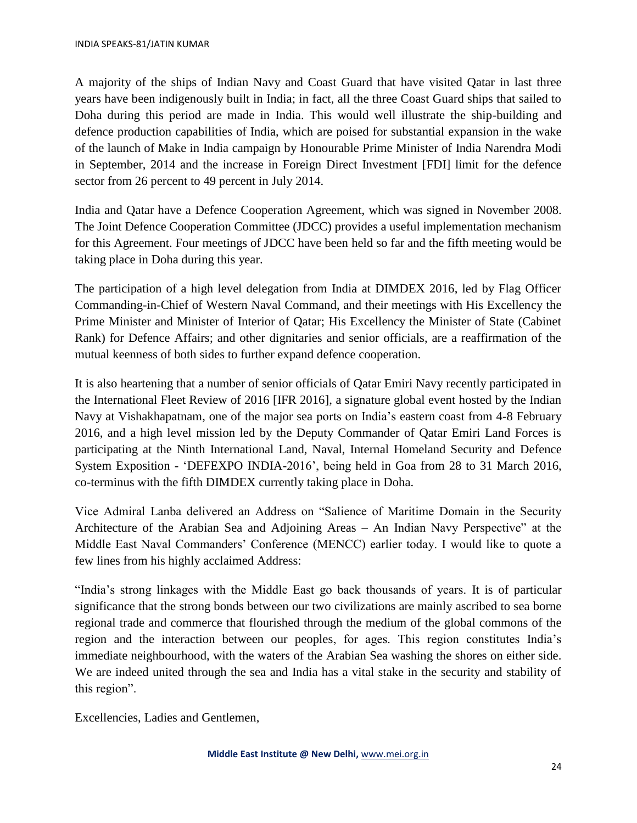A majority of the ships of Indian Navy and Coast Guard that have visited Qatar in last three years have been indigenously built in India; in fact, all the three Coast Guard ships that sailed to Doha during this period are made in India. This would well illustrate the ship-building and defence production capabilities of India, which are poised for substantial expansion in the wake of the launch of Make in India campaign by Honourable Prime Minister of India Narendra Modi in September, 2014 and the increase in Foreign Direct Investment [FDI] limit for the defence sector from 26 percent to 49 percent in July 2014.

India and Qatar have a Defence Cooperation Agreement, which was signed in November 2008. The Joint Defence Cooperation Committee (JDCC) provides a useful implementation mechanism for this Agreement. Four meetings of JDCC have been held so far and the fifth meeting would be taking place in Doha during this year.

The participation of a high level delegation from India at DIMDEX 2016, led by Flag Officer Commanding-in-Chief of Western Naval Command, and their meetings with His Excellency the Prime Minister and Minister of Interior of Qatar; His Excellency the Minister of State (Cabinet Rank) for Defence Affairs; and other dignitaries and senior officials, are a reaffirmation of the mutual keenness of both sides to further expand defence cooperation.

It is also heartening that a number of senior officials of Qatar Emiri Navy recently participated in the International Fleet Review of 2016 [IFR 2016], a signature global event hosted by the Indian Navy at Vishakhapatnam, one of the major sea ports on India's eastern coast from 4-8 February 2016, and a high level mission led by the Deputy Commander of Qatar Emiri Land Forces is participating at the Ninth International Land, Naval, Internal Homeland Security and Defence System Exposition - 'DEFEXPO INDIA-2016', being held in Goa from 28 to 31 March 2016, co-terminus with the fifth DIMDEX currently taking place in Doha.

Vice Admiral Lanba delivered an Address on "Salience of Maritime Domain in the Security Architecture of the Arabian Sea and Adjoining Areas – An Indian Navy Perspective" at the Middle East Naval Commanders' Conference (MENCC) earlier today. I would like to quote a few lines from his highly acclaimed Address:

"India's strong linkages with the Middle East go back thousands of years. It is of particular significance that the strong bonds between our two civilizations are mainly ascribed to sea borne regional trade and commerce that flourished through the medium of the global commons of the region and the interaction between our peoples, for ages. This region constitutes India's immediate neighbourhood, with the waters of the Arabian Sea washing the shores on either side. We are indeed united through the sea and India has a vital stake in the security and stability of this region".

Excellencies, Ladies and Gentlemen,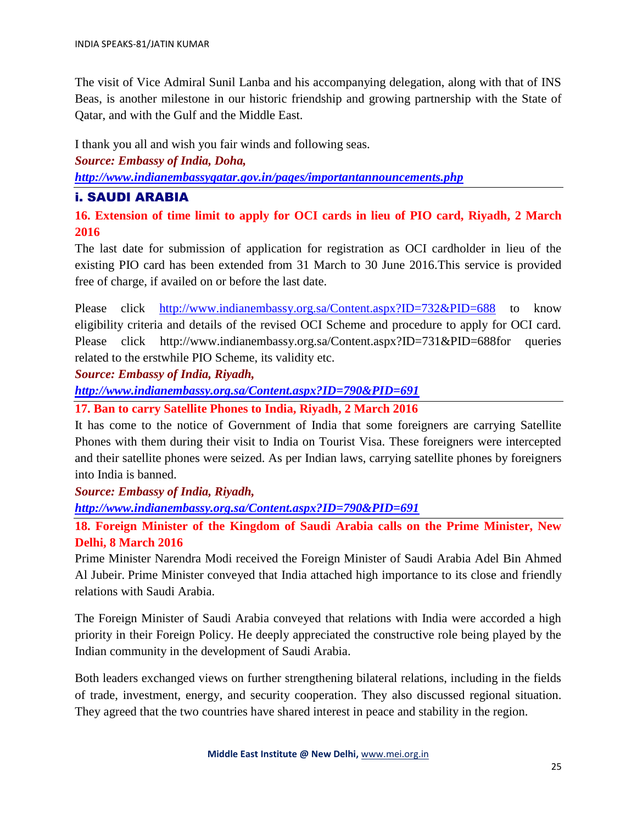The visit of Vice Admiral Sunil Lanba and his accompanying delegation, along with that of INS Beas, is another milestone in our historic friendship and growing partnership with the State of Qatar, and with the Gulf and the Middle East.

I thank you all and wish you fair winds and following seas.

*Source: Embassy of India, Doha,*

*<http://www.indianembassyqatar.gov.in/pages/importantannouncements.php>*

## i. SAUDI ARABIA

**16. Extension of time limit to apply for OCI cards in lieu of PIO card, Riyadh, 2 March 2016**

The last date for submission of application for registration as OCI cardholder in lieu of the existing PIO card has been extended from 31 March to 30 June 2016.This service is provided free of charge, if availed on or before the last date.

Please click <http://www.indianembassy.org.sa/Content.aspx?ID=732&PID=688> to know eligibility criteria and details of the revised OCI Scheme and procedure to apply for OCI card. Please click http://www.indianembassy.org.sa/Content.aspx?ID=731&PID=688for queries related to the erstwhile PIO Scheme, its validity etc.

*Source: Embassy of India, Riyadh,*

*<http://www.indianembassy.org.sa/Content.aspx?ID=790&PID=691>*

**17. Ban to carry Satellite Phones to India, Riyadh, 2 March 2016**

It has come to the notice of Government of India that some foreigners are carrying Satellite Phones with them during their visit to India on Tourist Visa. These foreigners were intercepted and their satellite phones were seized. As per Indian laws, carrying satellite phones by foreigners into India is banned.

*Source: Embassy of India, Riyadh,*

*<http://www.indianembassy.org.sa/Content.aspx?ID=790&PID=691>*

**18. Foreign Minister of the Kingdom of Saudi Arabia calls on the Prime Minister, New Delhi, 8 March 2016**

Prime Minister Narendra Modi received the Foreign Minister of Saudi Arabia Adel Bin Ahmed Al Jubeir. Prime Minister conveyed that India attached high importance to its close and friendly relations with Saudi Arabia.

The Foreign Minister of Saudi Arabia conveyed that relations with India were accorded a high priority in their Foreign Policy. He deeply appreciated the constructive role being played by the Indian community in the development of Saudi Arabia.

Both leaders exchanged views on further strengthening bilateral relations, including in the fields of trade, investment, energy, and security cooperation. They also discussed regional situation. They agreed that the two countries have shared interest in peace and stability in the region.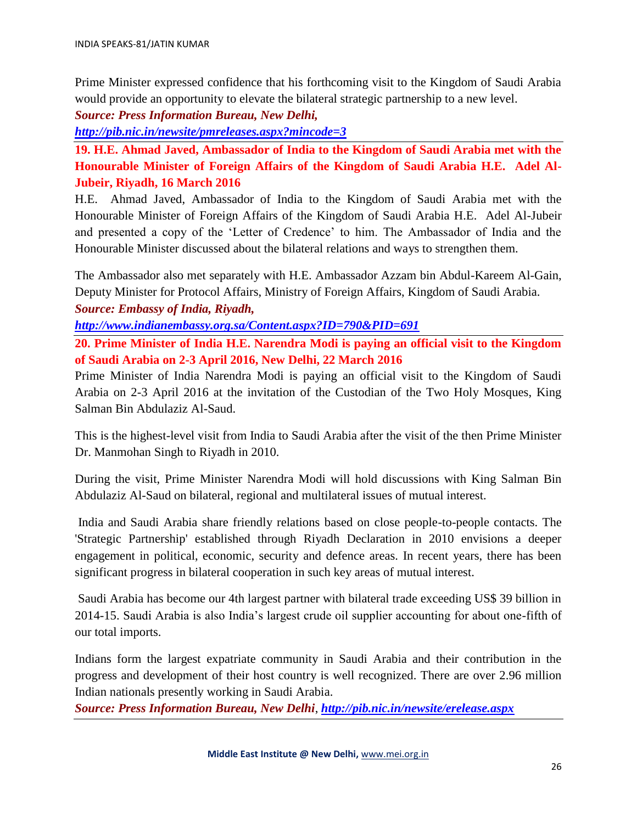Prime Minister expressed confidence that his forthcoming visit to the Kingdom of Saudi Arabia would provide an opportunity to elevate the bilateral strategic partnership to a new level.

*Source: Press Information Bureau, New Delhi,*

*<http://pib.nic.in/newsite/pmreleases.aspx?mincode=3>*

**19. H.E. Ahmad Javed, Ambassador of India to the Kingdom of Saudi Arabia met with the Honourable Minister of Foreign Affairs of the Kingdom of Saudi Arabia H.E. Adel Al-Jubeir, Riyadh, 16 March 2016**

H.E. Ahmad Javed, Ambassador of India to the Kingdom of Saudi Arabia met with the Honourable Minister of Foreign Affairs of the Kingdom of Saudi Arabia H.E. Adel Al-Jubeir and presented a copy of the 'Letter of Credence' to him. The Ambassador of India and the Honourable Minister discussed about the bilateral relations and ways to strengthen them.

The Ambassador also met separately with H.E. Ambassador Azzam bin Abdul-Kareem Al-Gain, Deputy Minister for Protocol Affairs, Ministry of Foreign Affairs, Kingdom of Saudi Arabia. *Source: Embassy of India, Riyadh,*

*<http://www.indianembassy.org.sa/Content.aspx?ID=790&PID=691>*

**20. Prime Minister of India H.E. Narendra Modi is paying an official visit to the Kingdom of Saudi Arabia on 2-3 April 2016, New Delhi, 22 March 2016**

Prime Minister of India Narendra Modi is paying an official visit to the Kingdom of Saudi Arabia on 2-3 April 2016 at the invitation of the Custodian of the Two Holy Mosques, King Salman Bin Abdulaziz Al-Saud.

This is the highest-level visit from India to Saudi Arabia after the visit of the then Prime Minister Dr. Manmohan Singh to Riyadh in 2010.

During the visit, Prime Minister Narendra Modi will hold discussions with King Salman Bin Abdulaziz Al-Saud on bilateral, regional and multilateral issues of mutual interest.

India and Saudi Arabia share friendly relations based on close people-to-people contacts. The 'Strategic Partnership' established through Riyadh Declaration in 2010 envisions a deeper engagement in political, economic, security and defence areas. In recent years, there has been significant progress in bilateral cooperation in such key areas of mutual interest.

Saudi Arabia has become our 4th largest partner with bilateral trade exceeding US\$ 39 billion in 2014-15. Saudi Arabia is also India's largest crude oil supplier accounting for about one-fifth of our total imports.

Indians form the largest expatriate community in Saudi Arabia and their contribution in the progress and development of their host country is well recognized. There are over 2.96 million Indian nationals presently working in Saudi Arabia.

*Source: Press Information Bureau, New Delhi*, *<http://pib.nic.in/newsite/erelease.aspx>*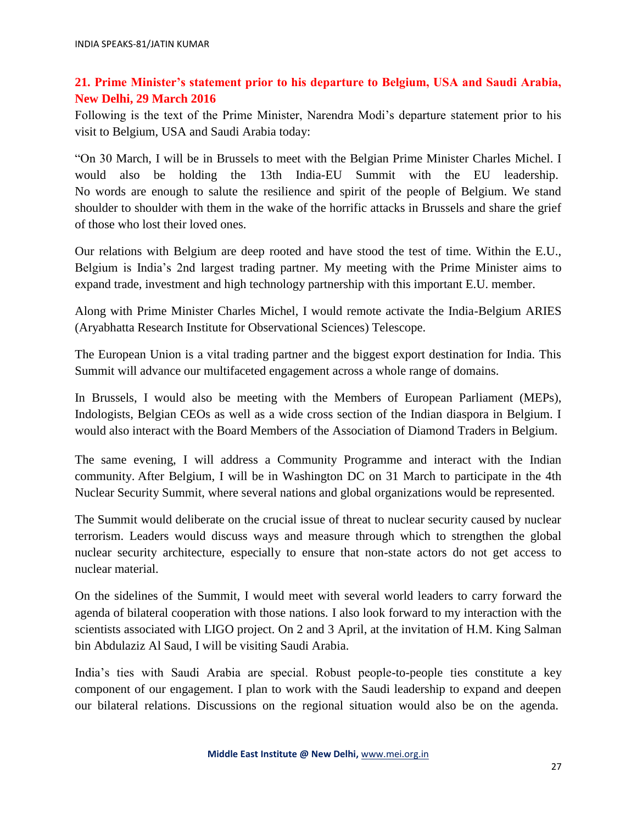# **21. Prime Minister's statement prior to his departure to Belgium, USA and Saudi Arabia, New Delhi, 29 March 2016**

Following is the text of the Prime Minister, Narendra Modi's departure statement prior to his visit to Belgium, USA and Saudi Arabia today:

"On 30 March, I will be in Brussels to meet with the Belgian Prime Minister Charles Michel. I would also be holding the 13th India-EU Summit with the EU leadership. No words are enough to salute the resilience and spirit of the people of Belgium. We stand shoulder to shoulder with them in the wake of the horrific attacks in Brussels and share the grief of those who lost their loved ones.

Our relations with Belgium are deep rooted and have stood the test of time. Within the E.U., Belgium is India's 2nd largest trading partner. My meeting with the Prime Minister aims to expand trade, investment and high technology partnership with this important E.U. member.

Along with Prime Minister Charles Michel, I would remote activate the India-Belgium ARIES (Aryabhatta Research Institute for Observational Sciences) Telescope.

The European Union is a vital trading partner and the biggest export destination for India. This Summit will advance our multifaceted engagement across a whole range of domains.

In Brussels, I would also be meeting with the Members of European Parliament (MEPs), Indologists, Belgian CEOs as well as a wide cross section of the Indian diaspora in Belgium. I would also interact with the Board Members of the Association of Diamond Traders in Belgium.

The same evening, I will address a Community Programme and interact with the Indian community. After Belgium, I will be in Washington DC on 31 March to participate in the 4th Nuclear Security Summit, where several nations and global organizations would be represented.

The Summit would deliberate on the crucial issue of threat to nuclear security caused by nuclear terrorism. Leaders would discuss ways and measure through which to strengthen the global nuclear security architecture, especially to ensure that non-state actors do not get access to nuclear material.

On the sidelines of the Summit, I would meet with several world leaders to carry forward the agenda of bilateral cooperation with those nations. I also look forward to my interaction with the scientists associated with LIGO project. On 2 and 3 April, at the invitation of H.M. King Salman bin Abdulaziz Al Saud, I will be visiting Saudi Arabia.

India's ties with Saudi Arabia are special. Robust people-to-people ties constitute a key component of our engagement. I plan to work with the Saudi leadership to expand and deepen our bilateral relations. Discussions on the regional situation would also be on the agenda.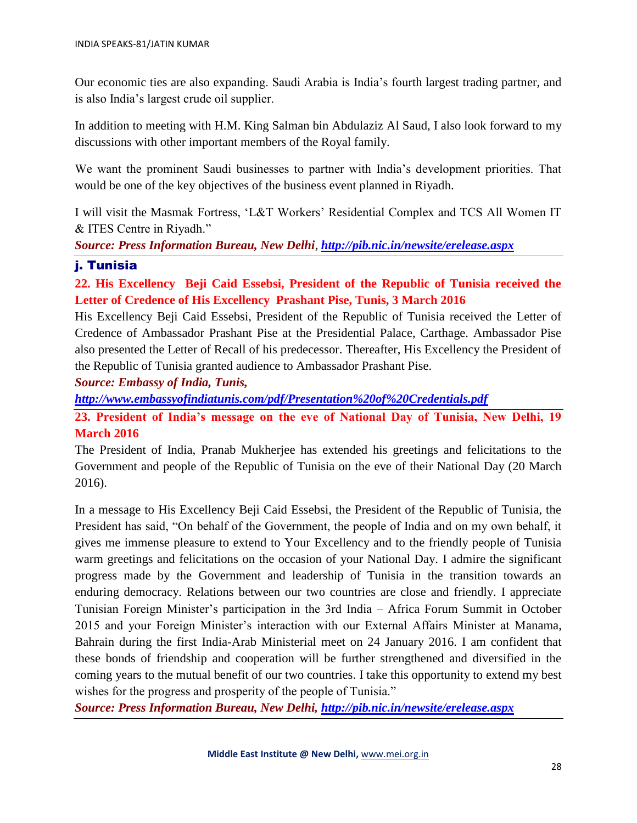Our economic ties are also expanding. Saudi Arabia is India's fourth largest trading partner, and is also India's largest crude oil supplier.

In addition to meeting with H.M. King Salman bin Abdulaziz Al Saud, I also look forward to my discussions with other important members of the Royal family.

We want the prominent Saudi businesses to partner with India's development priorities. That would be one of the key objectives of the business event planned in Riyadh.

I will visit the Masmak Fortress, 'L&T Workers' Residential Complex and TCS All Women IT & ITES Centre in Riyadh."

*Source: Press Information Bureau, New Delhi*, *<http://pib.nic.in/newsite/erelease.aspx>*

## j. Tunisia

**22. His Excellency Beji Caid Essebsi, President of the Republic of Tunisia received the Letter of Credence of His Excellency Prashant Pise, Tunis, 3 March 2016**

His Excellency Beji Caid Essebsi, President of the Republic of Tunisia received the Letter of Credence of Ambassador Prashant Pise at the Presidential Palace, Carthage. Ambassador Pise also presented the Letter of Recall of his predecessor. Thereafter, His Excellency the President of the Republic of Tunisia granted audience to Ambassador Prashant Pise.

*Source: Embassy of India, Tunis,*

*<http://www.embassyofindiatunis.com/pdf/Presentation%20of%20Credentials.pdf>*

**23. President of India's message on the eve of National Day of Tunisia, New Delhi, 19 March 2016** 

The President of India, Pranab Mukherjee has extended his greetings and felicitations to the Government and people of the Republic of Tunisia on the eve of their National Day (20 March 2016).

In a message to His Excellency Beji Caid Essebsi, the President of the Republic of Tunisia, the President has said, "On behalf of the Government, the people of India and on my own behalf, it gives me immense pleasure to extend to Your Excellency and to the friendly people of Tunisia warm greetings and felicitations on the occasion of your National Day. I admire the significant progress made by the Government and leadership of Tunisia in the transition towards an enduring democracy. Relations between our two countries are close and friendly. I appreciate Tunisian Foreign Minister's participation in the 3rd India – Africa Forum Summit in October 2015 and your Foreign Minister's interaction with our External Affairs Minister at Manama, Bahrain during the first India-Arab Ministerial meet on 24 January 2016. I am confident that these bonds of friendship and cooperation will be further strengthened and diversified in the coming years to the mutual benefit of our two countries. I take this opportunity to extend my best wishes for the progress and prosperity of the people of Tunisia."

*Source: Press Information Bureau, New Delhi, <http://pib.nic.in/newsite/erelease.aspx>*